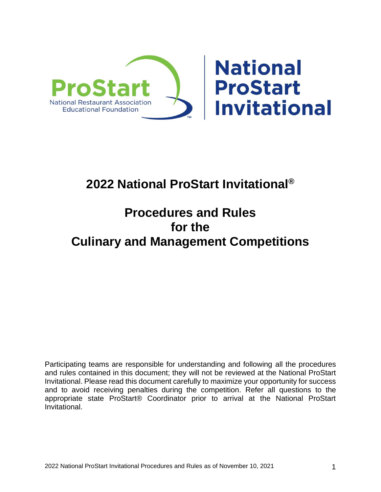

# **2022 National ProStart Invitational®**

# **Procedures and Rules for the Culinary and Management Competitions**

Participating teams are responsible for understanding and following all the procedures and rules contained in this document; they will not be reviewed at the National ProStart Invitational. Please read this document carefully to maximize your opportunity for success and to avoid receiving penalties during the competition. Refer all questions to the appropriate state ProStart® Coordinator prior to arrival at the National ProStart Invitational.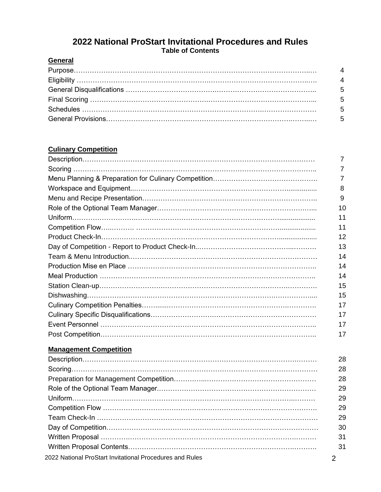# **2022 National ProStart Invitational Procedures and Rules Table of Contents**

# **General**

# **Culinary Competition**

|                                                          | 7              |
|----------------------------------------------------------|----------------|
|                                                          | $\overline{7}$ |
|                                                          | $\overline{7}$ |
|                                                          | 8              |
|                                                          | 9              |
|                                                          | 10             |
|                                                          | 11             |
|                                                          | 11             |
|                                                          | 12             |
|                                                          | 13             |
|                                                          | 14             |
|                                                          | 14             |
|                                                          | 14             |
|                                                          | 15             |
|                                                          | 15             |
|                                                          | 17             |
|                                                          | 17             |
|                                                          | 17             |
|                                                          | 17             |
| <b>Management Competition</b>                            |                |
|                                                          | 28             |
|                                                          | 28             |
|                                                          | 28             |
|                                                          | 29             |
|                                                          | 29             |
|                                                          | 29             |
|                                                          | 29             |
|                                                          | 30             |
|                                                          | 31             |
|                                                          | 31             |
| 2022 National ProStart Invitational Procedures and Rules | $\overline{2}$ |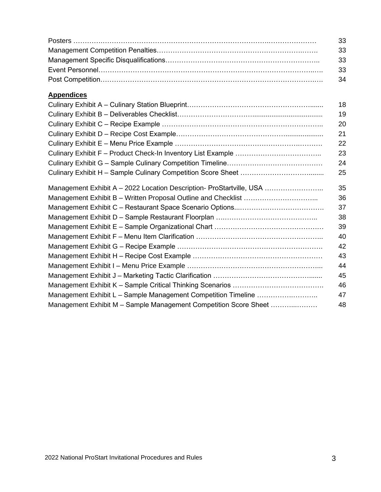| -33  |
|------|
| - 33 |
| - 33 |
| - 33 |
|      |

# **Appendices**

|                                                                      | 18 |
|----------------------------------------------------------------------|----|
|                                                                      | 19 |
|                                                                      | 20 |
|                                                                      | 21 |
|                                                                      | 22 |
|                                                                      | 23 |
|                                                                      | 24 |
|                                                                      | 25 |
| Management Exhibit A - 2022 Location Description- ProStartville, USA | 35 |
|                                                                      | 36 |
|                                                                      | 37 |
|                                                                      | 38 |
|                                                                      | 39 |
|                                                                      | 40 |
|                                                                      | 42 |
|                                                                      | 43 |
|                                                                      | 44 |
|                                                                      | 45 |
|                                                                      | 46 |
| Management Exhibit L - Sample Management Competition Timeline        | 47 |
| Management Exhibit M - Sample Management Competition Score Sheet     | 48 |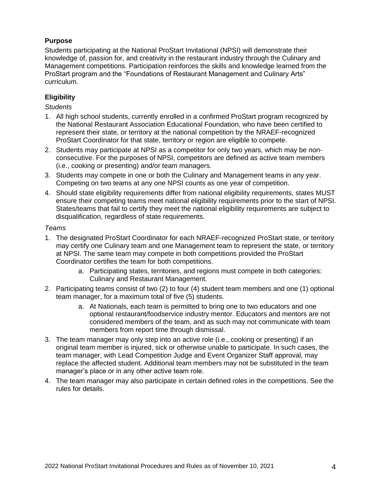## **Purpose**

Students participating at the National ProStart Invitational (NPSI) will demonstrate their knowledge of, passion for, and creativity in the restaurant industry through the Culinary and Management competitions. Participation reinforces the skills and knowledge learned from the ProStart program and the "Foundations of Restaurant Management and Culinary Arts" curriculum.

## **Eligibility**

#### *Students*

- 1. All high school students, currently enrolled in a confirmed ProStart program recognized by the National Restaurant Association Educational Foundation, who have been certified to represent their state, or territory at the national competition by the NRAEF-recognized ProStart Coordinator for that state, territory or region are eligible to compete.
- 2. Students may participate at NPSI as a competitor for only two years, which may be nonconsecutive. For the purposes of NPSI, competitors are defined as active team members (i.e., cooking or presenting) and/or team managers.
- 3. Students may compete in one or both the Culinary and Management teams in any year. Competing on two teams at any one NPSI counts as one year of competition.
- 4. Should state eligibility requirements differ from national eligibility requirements, states MUST ensure their competing teams meet national eligibility requirements prior to the start of NPSI. States/teams that fail to certify they meet the national eligibility requirements are subject to disqualification, regardless of state requirements.

#### *Teams*

- 1. The designated ProStart Coordinator for each NRAEF-recognized ProStart state, or territory may certify one Culinary team and one Management team to represent the state, or territory at NPSI. The same team may compete in both competitions provided the ProStart Coordinator certifies the team for both competitions.
	- a. Participating states, territories, and regions must compete in both categories: Culinary and Restaurant Management.
- 2. Participating teams consist of two (2) to four (4) student team members and one (1) optional team manager, for a maximum total of five (5) students.
	- a. At Nationals, each team is permitted to bring one to two educators and one optional restaurant/foodservice industry mentor. Educators and mentors are not considered members of the team, and as such may not communicate with team members from report time through dismissal.
- 3. The team manager may only step into an active role (i.e., cooking or presenting) if an original team member is injured, sick or otherwise unable to participate. In such cases, the team manager, with Lead Competition Judge and Event Organizer Staff approval, may replace the affected student. Additional team members may not be substituted in the team manager's place or in any other active team role.
- 4. The team manager may also participate in certain defined roles in the competitions. See the rules for details.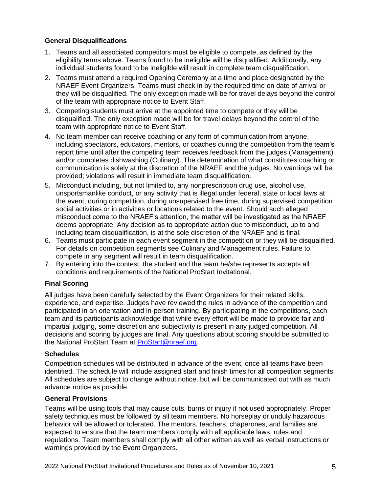#### **General Disqualifications**

- 1. Teams and all associated competitors must be eligible to compete, as defined by the eligibility terms above. Teams found to be ineligible will be disqualified. Additionally, any individual students found to be ineligible will result in complete team disqualification.
- 2. Teams must attend a required Opening Ceremony at a time and place designated by the NRAEF Event Organizers. Teams must check in by the required time on date of arrival or they will be disqualified. The only exception made will be for travel delays beyond the control of the team with appropriate notice to Event Staff.
- 3. Competing students must arrive at the appointed time to compete or they will be disqualified. The only exception made will be for travel delays beyond the control of the team with appropriate notice to Event Staff.
- 4. No team member can receive coaching or any form of communication from anyone, including spectators, educators, mentors, or coaches during the competition from the team's report time until after the competing team receives feedback from the judges (Management) and/or completes dishwashing (Culinary). The determination of what constitutes coaching or communication is solely at the discretion of the NRAEF and the judges. No warnings will be provided; violations will result in immediate team disqualification.
- 5. Misconduct including, but not limited to, any nonprescription drug use, alcohol use, unsportsmanlike conduct, or any activity that is illegal under federal, state or local laws at the event, during competition, during unsupervised free time, during supervised competition social activities or in activities or locations related to the event. Should such alleged misconduct come to the NRAEF's attention, the matter will be investigated as the NRAEF deems appropriate. Any decision as to appropriate action due to misconduct, up to and including team disqualification, is at the sole discretion of the NRAEF and is final.
- 6. Teams must participate in each event segment in the competition or they will be disqualified. For details on competition segments see Culinary and Management rules. Failure to compete in any segment will result in team disqualification.
- 7. By entering into the contest, the student and the team he/she represents accepts all conditions and requirements of the National ProStart Invitational.

#### **Final Scoring**

All judges have been carefully selected by the Event Organizers for their related skills, experience, and expertise. Judges have reviewed the rules in advance of the competition and participated in an orientation and in-person training. By participating in the competitions, each team and its participants acknowledge that while every effort will be made to provide fair and impartial judging, some discretion and subjectivity is present in any judged competition. All decisions and scoring by judges are final. Any questions about scoring should be submitted to the National ProStart Team at [ProStart@nraef.org.](mailto:ProStart@nraef.org)

#### **Schedules**

Competition schedules will be distributed in advance of the event, once all teams have been identified. The schedule will include assigned start and finish times for all competition segments. All schedules are subject to change without notice, but will be communicated out with as much advance notice as possible.

#### **General Provisions**

Teams will be using tools that may cause cuts, burns or injury if not used appropriately. Proper safety techniques must be followed by all team members. No horseplay or unduly hazardous behavior will be allowed or tolerated. The mentors, teachers, chaperones, and families are expected to ensure that the team members comply with all applicable laws, rules and regulations. Team members shall comply with all other written as well as verbal instructions or warnings provided by the Event Organizers.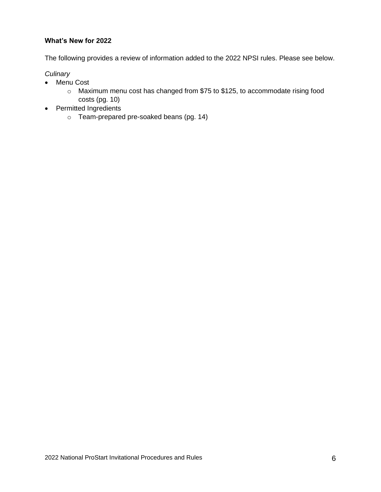## **What's New for 2022**

The following provides a review of information added to the 2022 NPSI rules. Please see below.

#### *Culinary*

- Menu Cost
	- o Maximum menu cost has changed from \$75 to \$125, to accommodate rising food costs (pg. 10)
- Permitted Ingredients
	- o Team-prepared pre-soaked beans (pg. 14)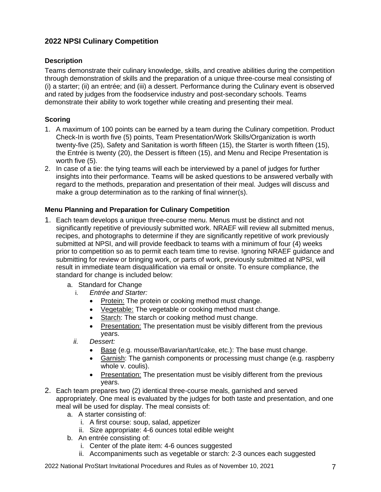# **2022 NPSI Culinary Competition**

## **Description**

Teams demonstrate their culinary knowledge, skills, and creative abilities during the competition through demonstration of skills and the preparation of a unique three-course meal consisting of (i) a starter; (ii) an entrée; and (iii) a dessert. Performance during the Culinary event is observed and rated by judges from the foodservice industry and post-secondary schools. Teams demonstrate their ability to work together while creating and presenting their meal.

## **Scoring**

- 1. A maximum of 100 points can be earned by a team during the Culinary competition. Product Check-In is worth five (5) points, Team Presentation/Work Skills/Organization is worth twenty-five (25), Safety and Sanitation is worth fifteen (15), the Starter is worth fifteen (15), the Entrée is twenty (20), the Dessert is fifteen (15), and Menu and Recipe Presentation is worth five (5).
- 2. In case of a tie: the tying teams will each be interviewed by a panel of judges for further insights into their performance. Teams will be asked questions to be answered verbally with regard to the methods, preparation and presentation of their meal. Judges will discuss and make a group determination as to the ranking of final winner(s).

## **Menu Planning and Preparation for Culinary Competition**

- 1. Each team develops a unique three-course menu. Menus must be distinct and not significantly repetitive of previously submitted work. NRAEF will review all submitted menus, recipes, and photographs to determine if they are significantly repetitive of work previously submitted at NPSI, and will provide feedback to teams with a minimum of four (4) weeks prior to competition so as to permit each team time to revise. Ignoring NRAEF guidance and submitting for review or bringing work, or parts of work, previously submitted at NPSI, will result in immediate team disqualification via email or onsite. To ensure compliance, the standard for change is included below:
	- a. Standard for Change
		- i. *Entrée and Starter:* 
			- Protein: The protein or cooking method must change.
			- Vegetable: The vegetable or cooking method must change.
			- Starch: The starch or cooking method must change.
			- Presentation: The presentation must be visibly different from the previous years.
		- *ii. Dessert:*
			- Base (e.g. mousse/Bavarian/tart/cake, etc.): The base must change.
			- Garnish: The garnish components or processing must change (e.g. raspberry whole v. coulis).
			- Presentation: The presentation must be visibly different from the previous years.
- 2. Each team prepares two (2) identical three-course meals, garnished and served appropriately. One meal is evaluated by the judges for both taste and presentation, and one meal will be used for display. The meal consists of:
	- a. A starter consisting of:
		- i. A first course: soup, salad, appetizer
		- ii. Size appropriate: 4-6 ounces total edible weight
	- b. An entrée consisting of:
		- i. Center of the plate item: 4-6 ounces suggested
		- ii. Accompaniments such as vegetable or starch: 2-3 ounces each suggested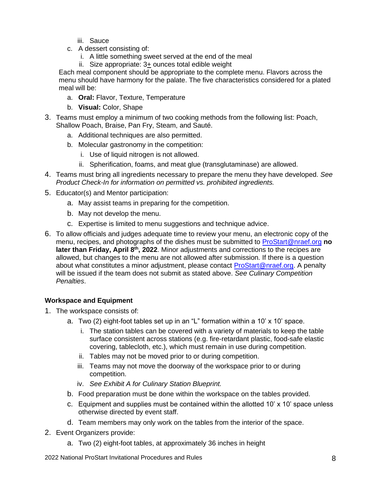- iii. Sauce
- c. A dessert consisting of:
	- i. A little something sweet served at the end of the meal
	- ii. Size appropriate: 3+ ounces total edible weight

Each meal component should be appropriate to the complete menu. Flavors across the menu should have harmony for the palate. The five characteristics considered for a plated meal will be:

- a. **Oral:** Flavor, Texture, Temperature
- b. **Visual:** Color, Shape
- 3. Teams must employ a minimum of two cooking methods from the following list: Poach, Shallow Poach, Braise, Pan Fry, Steam, and Sauté.
	- a. Additional techniques are also permitted.
	- b. Molecular gastronomy in the competition:
		- i. Use of liquid nitrogen is not allowed.
		- ii. Spherification, foams, and meat glue (transglutaminase) are allowed.
- 4. Teams must bring all ingredients necessary to prepare the menu they have developed. *See Product Check-In for information on permitted vs. prohibited ingredients.*
- 5. Educator(s) and Mentor participation:
	- a. May assist teams in preparing for the competition.
	- b. May not develop the menu.
	- c. Expertise is limited to menu suggestions and technique advice.
- 6. To allow officials and judges adequate time to review your menu, an electronic copy of the menu, recipes, and photographs of the dishes must be submitted to [ProStart@nraef.org](mailto:ProStart@nraef.org) **no**  later than Friday, April 8<sup>th</sup>, 2022. Minor adjustments and corrections to the recipes are allowed, but changes to the menu are not allowed after submission. If there is a question about what constitutes a minor adjustment, please contact [ProStart@nraef.org.](mailto:ProStart@nraef.org) A penalty will be issued if the team does not submit as stated above. *See Culinary Competition Penalties*.

#### **Workspace and Equipment**

- 1. The workspace consists of:
	- a. Two  $(2)$  eight-foot tables set up in an "L" formation within a 10' x 10' space.
		- i. The station tables can be covered with a variety of materials to keep the table surface consistent across stations (e.g. fire-retardant plastic, food-safe elastic covering, tablecloth, etc.), which must remain in use during competition.
		- ii. Tables may not be moved prior to or during competition.
		- iii. Teams may not move the doorway of the workspace prior to or during competition.
		- iv. *See Exhibit A for Culinary Station Blueprint.*
	- b. Food preparation must be done within the workspace on the tables provided.
	- c. Equipment and supplies must be contained within the allotted  $10' \times 10'$  space unless otherwise directed by event staff.
	- d. Team members may only work on the tables from the interior of the space.
- 2. Event Organizers provide:
	- a. Two (2) eight-foot tables, at approximately 36 inches in height

2022 National ProStart Invitational Procedures and Rules 8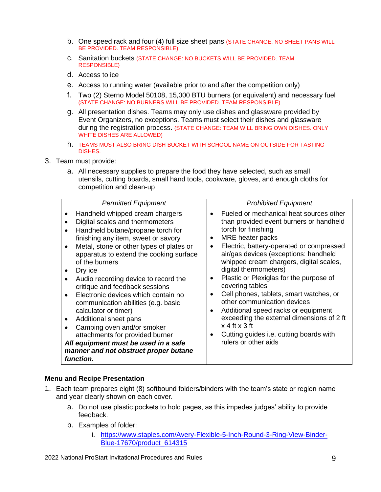- b. One speed rack and four (4) full size sheet pans (STATE CHANGE: NO SHEET PANS WILL BE PROVIDED. TEAM RESPONSIBLE)
- c. Sanitation buckets (STATE CHANGE: NO BUCKETS WILL BE PROVIDED. TEAM RESPONSIBLE)
- d. Access to ice
- e. Access to running water (available prior to and after the competition only)
- f. Two (2) Sterno Model 50108, 15,000 BTU burners (or equivalent) and necessary fuel (STATE CHANGE: NO BURNERS WILL BE PROVIDED. TEAM RESPONSIBLE)
- g. All presentation dishes. Teams may only use dishes and glassware provided by Event Organizers, no exceptions. Teams must select their dishes and glassware during the registration process. (STATE CHANGE: TEAM WILL BRING OWN DISHES. ONLY WHITE DISHES ARE ALLOWED)
- h. TEAMS MUST ALSO BRING DISH BUCKET WITH SCHOOL NAME ON OUTSIDE FOR TASTING DISHES.
- 3. Team must provide:
	- a. All necessary supplies to prepare the food they have selected, such as small utensils, cutting boards, small hand tools, cookware, gloves, and enough cloths for competition and clean-up

| <b>Permitted Equipment</b>                                                                                                                                                                                                                                                                                                                                                                                                                                                                                                                                                                                                                                                                                  | <b>Prohibited Equipment</b>                                                                                                                                                                                                                                                                                                                                                                                                                                                                                                                                                                                |
|-------------------------------------------------------------------------------------------------------------------------------------------------------------------------------------------------------------------------------------------------------------------------------------------------------------------------------------------------------------------------------------------------------------------------------------------------------------------------------------------------------------------------------------------------------------------------------------------------------------------------------------------------------------------------------------------------------------|------------------------------------------------------------------------------------------------------------------------------------------------------------------------------------------------------------------------------------------------------------------------------------------------------------------------------------------------------------------------------------------------------------------------------------------------------------------------------------------------------------------------------------------------------------------------------------------------------------|
| Handheld whipped cream chargers<br>$\bullet$<br>Digital scales and thermometers<br>Handheld butane/propane torch for<br>$\bullet$<br>finishing any item, sweet or savory<br>Metal, stone or other types of plates or<br>$\bullet$<br>apparatus to extend the cooking surface<br>of the burners<br>Dry ice<br>Audio recording device to record the<br>critique and feedback sessions<br>Electronic devices which contain no<br>$\bullet$<br>communication abilities (e.g. basic<br>calculator or timer)<br>Additional sheet pans<br>Camping oven and/or smoker<br>$\bullet$<br>attachments for provided burner<br>All equipment must be used in a safe<br>manner and not obstruct proper butane<br>function. | Fueled or mechanical heat sources other<br>than provided event burners or handheld<br>torch for finishing<br>MRE heater packs<br>Electric, battery-operated or compressed<br>air/gas devices (exceptions: handheld<br>whipped cream chargers, digital scales,<br>digital thermometers)<br>Plastic or Plexiglas for the purpose of<br>covering tables<br>Cell phones, tablets, smart watches, or<br>other communication devices<br>Additional speed racks or equipment<br>exceeding the external dimensions of 2 ft<br>$x$ 4 ft $x$ 3 ft<br>Cutting guides i.e. cutting boards with<br>rulers or other aids |

#### **Menu and Recipe Presentation**

- 1. Each team prepares eight (8) softbound folders/binders with the team's state or region name and year clearly shown on each cover.
	- a. Do not use plastic pockets to hold pages, as this impedes judges' ability to provide feedback.
	- b. Examples of folder:
		- i. [https://www.staples.com/Avery-Flexible-5-Inch-Round-3-Ring-View-Binder-](https://www.staples.com/Avery-Flexible-5-Inch-Round-3-Ring-View-Binder-Blue-17670/product_614315)[Blue-17670/product\\_614315](https://www.staples.com/Avery-Flexible-5-Inch-Round-3-Ring-View-Binder-Blue-17670/product_614315)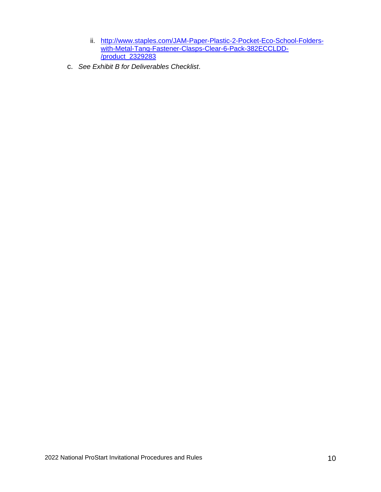- ii. [http://www.staples.com/JAM-Paper-Plastic-2-Pocket-Eco-School-Folders](http://www.staples.com/JAM-Paper-Plastic-2-Pocket-Eco-School-Folders-with-Metal-Tang-Fastener-Clasps-Clear-6-Pack-382ECCLDD-/product_2329283)[with-Metal-Tang-Fastener-Clasps-Clear-6-Pack-382ECCLDD-](http://www.staples.com/JAM-Paper-Plastic-2-Pocket-Eco-School-Folders-with-Metal-Tang-Fastener-Clasps-Clear-6-Pack-382ECCLDD-/product_2329283) [/product\\_2329283](http://www.staples.com/JAM-Paper-Plastic-2-Pocket-Eco-School-Folders-with-Metal-Tang-Fastener-Clasps-Clear-6-Pack-382ECCLDD-/product_2329283)
- c. *See Exhibit B for Deliverables Checklist*.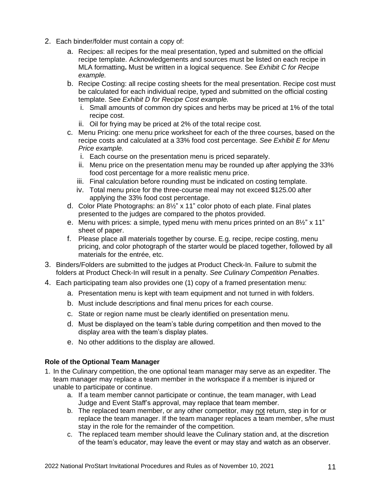- 2. Each binder/folder must contain a copy of:
	- a. Recipes: all recipes for the meal presentation, typed and submitted on the official recipe template. Acknowledgements and sources must be listed on each recipe in MLA formatting**.** Must be written in a logical sequence. See *Exhibit C for Recipe example.*
	- b. Recipe Costing: all recipe costing sheets for the meal presentation. Recipe cost must be calculated for each individual recipe, typed and submitted on the official costing template. See *Exhibit D for Recipe Cost example.*
		- i. Small amounts of common dry spices and herbs may be priced at 1% of the total recipe cost.
		- ii. Oil for frying may be priced at 2% of the total recipe cost.
	- c. Menu Pricing: one menu price worksheet for each of the three courses, based on the recipe costs and calculated at a 33% food cost percentage. *See Exhibit E for Menu Price example.*
		- i. Each course on the presentation menu is priced separately.
		- ii. Menu price on the presentation menu may be rounded up after applying the 33% food cost percentage for a more realistic menu price.
		- iii. Final calculation before rounding must be indicated on costing template.
		- iv. Total menu price for the three-course meal may not exceed \$125.00 after applying the 33% food cost percentage.
	- d. Color Plate Photographs: an 8½" x 11" color photo of each plate. Final plates presented to the judges are compared to the photos provided.
	- e. Menu with prices: a simple, typed menu with menu prices printed on an  $8\frac{1}{2}$ " x 11" sheet of paper.
	- f. Please place all materials together by course. E.g. recipe, recipe costing, menu pricing, and color photograph of the starter would be placed together, followed by all materials for the entrée, etc.
- 3. Binders/Folders are submitted to the judges at Product Check-In. Failure to submit the folders at Product Check-In will result in a penalty. *See Culinary Competition Penalties*.
- 4. Each participating team also provides one (1) copy of a framed presentation menu:
	- a. Presentation menu is kept with team equipment and not turned in with folders.
	- b. Must include descriptions and final menu prices for each course.
	- c. State or region name must be clearly identified on presentation menu.
	- d. Must be displayed on the team's table during competition and then moved to the display area with the team's display plates.
	- e. No other additions to the display are allowed.

#### **Role of the Optional Team Manager**

- 1. In the Culinary competition, the one optional team manager may serve as an expediter. The team manager may replace a team member in the workspace if a member is injured or unable to participate or continue.
	- a. If a team member cannot participate or continue, the team manager, with Lead Judge and Event Staff's approval, may replace that team member.
	- b. The replaced team member, or any other competitor, may not return, step in for or replace the team manager. If the team manager replaces a team member, s/he must stay in the role for the remainder of the competition.
	- c. The replaced team member should leave the Culinary station and, at the discretion of the team's educator, may leave the event or may stay and watch as an observer.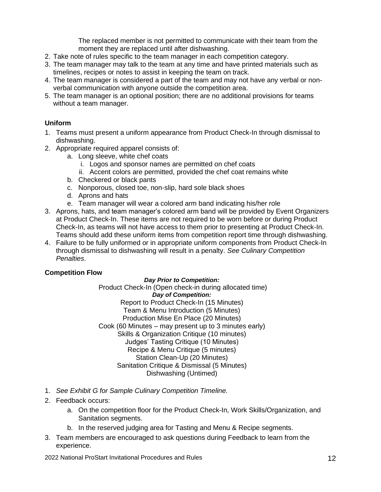The replaced member is not permitted to communicate with their team from the moment they are replaced until after dishwashing.

- 2. Take note of rules specific to the team manager in each competition category.
- 3. The team manager may talk to the team at any time and have printed materials such as timelines, recipes or notes to assist in keeping the team on track.
- 4. The team manager is considered a part of the team and may not have any verbal or nonverbal communication with anyone outside the competition area.
- 5. The team manager is an optional position; there are no additional provisions for teams without a team manager.

#### **Uniform**

- 1. Teams must present a uniform appearance from Product Check-In through dismissal to dishwashing.
- 2. Appropriate required apparel consists of:
	- a. Long sleeve, white chef coats
		- i. Logos and sponsor names are permitted on chef coats
		- ii. Accent colors are permitted, provided the chef coat remains white
	- b. Checkered or black pants
	- c. Nonporous, closed toe, non-slip, hard sole black shoes
	- d. Aprons and hats
	- e. Team manager will wear a colored arm band indicating his/her role
- 3. Aprons, hats, and team manager's colored arm band will be provided by Event Organizers at Product Check-In. These items are not required to be worn before or during Product Check-In, as teams will not have access to them prior to presenting at Product Check-In. Teams should add these uniform items from competition report time through dishwashing.
- 4. Failure to be fully uniformed or in appropriate uniform components from Product Check-In through dismissal to dishwashing will result in a penalty. *See Culinary Competition Penalties*.

#### **Competition Flow**

#### *Day Prior to Competition:*

Product Check-In (Open check-in during allocated time) *Day of Competition:* Report to Product Check-In (15 Minutes) Team & Menu Introduction (5 Minutes) Production Mise En Place (20 Minutes) Cook (60 Minutes – may present up to 3 minutes early) Skills & Organization Critique (10 minutes) Judges' Tasting Critique (10 Minutes) Recipe & Menu Critique (5 minutes) Station Clean-Up (20 Minutes) Sanitation Critique & Dismissal (5 Minutes) Dishwashing (Untimed)

- 1. *See Exhibit G for Sample Culinary Competition Timeline.*
- 2. Feedback occurs:
	- a. On the competition floor for the Product Check-In, Work Skills/Organization, and Sanitation segments.
	- b. In the reserved judging area for Tasting and Menu & Recipe segments.
- 3. Team members are encouraged to ask questions during Feedback to learn from the experience.

2022 National ProStart Invitational Procedures and Rules 12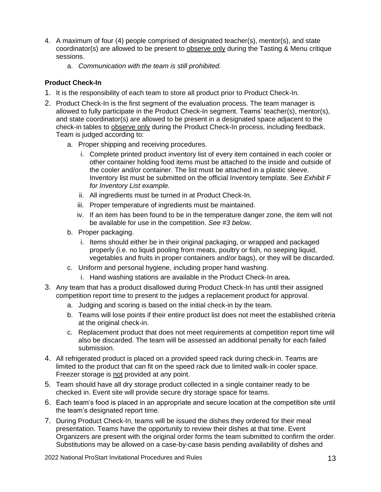- 4. A maximum of four (4) people comprised of designated teacher(s), mentor(s), and state coordinator(s) are allowed to be present to observe only during the Tasting & Menu critique sessions.
	- a. *Communication with the team is still prohibited.*

## **Product Check-In**

- 1. It is the responsibility of each team to store all product prior to Product Check-In.
- 2. Product Check-In is the first segment of the evaluation process. The team manager is allowed to fully participate in the Product Check-In segment. Teams' teacher(s), mentor(s), and state coordinator(s) are allowed to be present in a designated space adjacent to the check-in tables to observe only during the Product Check-In process, including feedback. Team is judged according to:
	- a. Proper shipping and receiving procedures.
		- i. Complete printed product inventory list of every item contained in each cooler or other container holding food items must be attached to the inside and outside of the cooler and/or container. The list must be attached in a plastic sleeve. Inventory list must be submitted on the official Inventory template. See *Exhibit F for Inventory List example.*
		- ii. All ingredients must be turned in at Product Check-In.
		- iii. Proper temperature of ingredients must be maintained.
		- iv. If an item has been found to be in the temperature danger zone, the item will not be available for use in the competition. *See #3 below*.
	- b. Proper packaging.
		- i. Items should either be in their original packaging, or wrapped and packaged properly (i.e. no liquid pooling from meats, poultry or fish, no seeping liquid, vegetables and fruits in proper containers and/or bags), or they will be discarded.
	- c. Uniform and personal hygiene, including proper hand washing.
		- i. Hand washing stations are available in the Product Check-In area**.**
- 3. Any team that has a product disallowed during Product Check-In has until their assigned competition report time to present to the judges a replacement product for approval.
	- a. Judging and scoring is based on the initial check-in by the team.
	- b. Teams will lose points if their entire product list does not meet the established criteria at the original check-in.
	- c. Replacement product that does not meet requirements at competition report time will also be discarded. The team will be assessed an additional penalty for each failed submission.
- 4. All refrigerated product is placed on a provided speed rack during check-in. Teams are limited to the product that can fit on the speed rack due to limited walk-in cooler space. Freezer storage is not provided at any point.
- 5. Team should have all dry storage product collected in a single container ready to be checked in. Event site will provide secure dry storage space for teams.
- 6. Each team's food is placed in an appropriate and secure location at the competition site until the team's designated report time.
- 7. During Product Check-In, teams will be issued the dishes they ordered for their meal presentation. Teams have the opportunity to review their dishes at that time. Event Organizers are present with the original order forms the team submitted to confirm the order. Substitutions may be allowed on a case-by-case basis pending availability of dishes and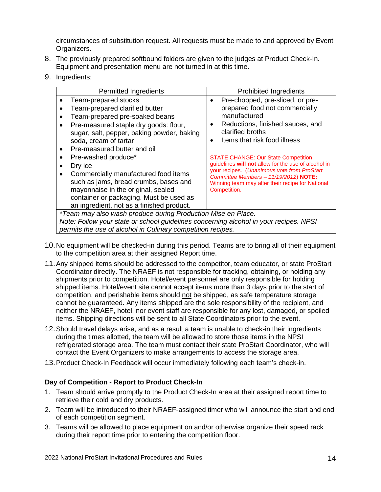circumstances of substitution request. All requests must be made to and approved by Event Organizers.

- 8. The previously prepared softbound folders are given to the judges at Product Check-In. Equipment and presentation menu are not turned in at this time.
- 9. Ingredients:

|                                                                                                                                                                                                                             | <b>Permitted Ingredients</b>                                                                                                                                                                                                                                                                                                                                                                                                                                                             |                                     | <b>Prohibited Ingredients</b>                                                                                                                                                                                                                                                                                                                                                                                                               |
|-----------------------------------------------------------------------------------------------------------------------------------------------------------------------------------------------------------------------------|------------------------------------------------------------------------------------------------------------------------------------------------------------------------------------------------------------------------------------------------------------------------------------------------------------------------------------------------------------------------------------------------------------------------------------------------------------------------------------------|-------------------------------------|---------------------------------------------------------------------------------------------------------------------------------------------------------------------------------------------------------------------------------------------------------------------------------------------------------------------------------------------------------------------------------------------------------------------------------------------|
|                                                                                                                                                                                                                             | Team-prepared stocks<br>Team-prepared clarified butter<br>Team-prepared pre-soaked beans<br>Pre-measured staple dry goods: flour,<br>sugar, salt, pepper, baking powder, baking<br>soda, cream of tartar<br>Pre-measured butter and oil<br>Pre-washed produce*<br>Dry ice<br>Commercially manufactured food items<br>such as jams, bread crumbs, bases and<br>mayonnaise in the original, sealed<br>container or packaging. Must be used as<br>an ingredient, not as a finished product. | $\bullet$<br>$\bullet$<br>$\bullet$ | Pre-chopped, pre-sliced, or pre-<br>prepared food not commercially<br>manufactured<br>Reductions, finished sauces, and<br>clarified broths<br>Items that risk food illness<br><b>STATE CHANGE: Our State Competition</b><br>guidelines will not allow for the use of alcohol in<br>your recipes. (Unanimous vote from ProStart<br>Committee Members - 11/19/2012) NOTE:<br>Winning team may alter their recipe for National<br>Competition. |
| <i>*Team may also wash produce during Production Mise en Place.</i><br>Note: Follow your state or school guidelines concerning alcohol in your recipes. NPSI<br>permits the use of alcohol in Culinary competition recipes. |                                                                                                                                                                                                                                                                                                                                                                                                                                                                                          |                                     |                                                                                                                                                                                                                                                                                                                                                                                                                                             |
|                                                                                                                                                                                                                             |                                                                                                                                                                                                                                                                                                                                                                                                                                                                                          |                                     |                                                                                                                                                                                                                                                                                                                                                                                                                                             |

- 10.No equipment will be checked-in during this period. Teams are to bring all of their equipment to the competition area at their assigned Report time.
- 11.Any shipped items should be addressed to the competitor, team educator, or state ProStart Coordinator directly. The NRAEF is not responsible for tracking, obtaining, or holding any shipments prior to competition. Hotel/event personnel are only responsible for holding shipped items. Hotel/event site cannot accept items more than 3 days prior to the start of competition, and perishable items should not be shipped, as safe temperature storage cannot be guaranteed. Any items shipped are the sole responsibility of the recipient, and neither the NRAEF, hotel, nor event staff are responsible for any lost, damaged, or spoiled items. Shipping directions will be sent to all State Coordinators prior to the event.
- 12.Should travel delays arise, and as a result a team is unable to check-in their ingredients during the times allotted, the team will be allowed to store those items in the NPSI refrigerated storage area. The team must contact their state ProStart Coordinator, who will contact the Event Organizers to make arrangements to access the storage area.
- 13.Product Check-In Feedback will occur immediately following each team's check-in.

#### **Day of Competition - Report to Product Check-In**

- 1. Team should arrive promptly to the Product Check-In area at their assigned report time to retrieve their cold and dry products.
- 2. Team will be introduced to their NRAEF-assigned timer who will announce the start and end of each competition segment.
- 3. Teams will be allowed to place equipment on and/or otherwise organize their speed rack during their report time prior to entering the competition floor.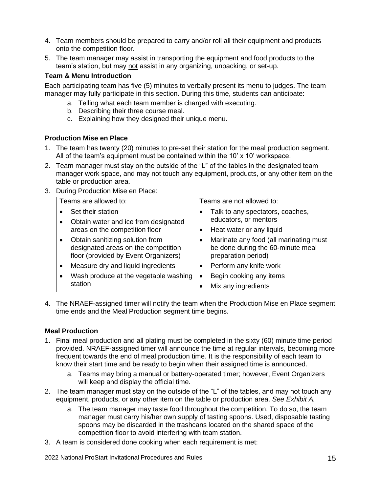- 4. Team members should be prepared to carry and/or roll all their equipment and products onto the competition floor.
- 5. The team manager may assist in transporting the equipment and food products to the team's station, but may not assist in any organizing, unpacking, or set-up.

#### **Team & Menu Introduction**

Each participating team has five (5) minutes to verbally present its menu to judges. The team manager may fully participate in this section. During this time, students can anticipate:

- a. Telling what each team member is charged with executing.
- b. Describing their three course meal.
- c. Explaining how they designed their unique menu.

## **Production Mise en Place**

- 1. The team has twenty (20) minutes to pre-set their station for the meal production segment. All of the team's equipment must be contained within the 10' x 10' workspace.
- 2. Team manager must stay on the outside of the "L" of the tables in the designated team manager work space, and may not touch any equipment, products, or any other item on the table or production area.
- 3. During Production Mise en Place:

| Teams are allowed to: |                                                                                                                | Teams are not allowed to:            |                                                                                                    |  |
|-----------------------|----------------------------------------------------------------------------------------------------------------|--------------------------------------|----------------------------------------------------------------------------------------------------|--|
|                       | Set their station                                                                                              |                                      | Talk to any spectators, coaches,                                                                   |  |
|                       | Obtain water and ice from designated                                                                           |                                      | educators, or mentors                                                                              |  |
|                       | areas on the competition floor                                                                                 |                                      | Heat water or any liquid                                                                           |  |
|                       | Obtain sanitizing solution from<br>designated areas on the competition<br>floor (provided by Event Organizers) |                                      | Marinate any food (all marinating must<br>be done during the 60-minute meal<br>preparation period) |  |
|                       | Measure dry and liquid ingredients                                                                             |                                      | Perform any knife work                                                                             |  |
|                       | Wash produce at the vegetable washing                                                                          | Begin cooking any items<br>$\bullet$ |                                                                                                    |  |
|                       | station                                                                                                        |                                      | Mix any ingredients                                                                                |  |

4. The NRAEF-assigned timer will notify the team when the Production Mise en Place segment time ends and the Meal Production segment time begins.

#### **Meal Production**

- 1. Final meal production and all plating must be completed in the sixty (60) minute time period provided. NRAEF-assigned timer will announce the time at regular intervals, becoming more frequent towards the end of meal production time. It is the responsibility of each team to know their start time and be ready to begin when their assigned time is announced.
	- a. Teams may bring a manual or battery-operated timer; however, Event Organizers will keep and display the official time.
- 2. The team manager must stay on the outside of the "L" of the tables, and may not touch any equipment, products, or any other item on the table or production area. *See Exhibit A.* 
	- a. The team manager may taste food throughout the competition. To do so, the team manager must carry his/her own supply of tasting spoons. Used, disposable tasting spoons may be discarded in the trashcans located on the shared space of the competition floor to avoid interfering with team station.
- 3. A team is considered done cooking when each requirement is met:

2022 National ProStart Invitational Procedures and Rules 15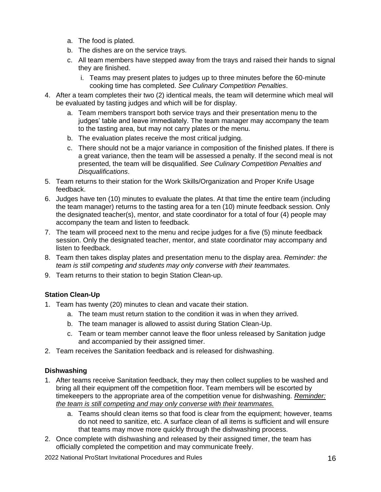- a. The food is plated.
- b. The dishes are on the service trays.
- c. All team members have stepped away from the trays and raised their hands to signal they are finished.
	- i. Teams may present plates to judges up to three minutes before the 60-minute cooking time has completed. *See Culinary Competition Penalties*.
- 4. After a team completes their two (2) identical meals, the team will determine which meal will be evaluated by tasting judges and which will be for display.
	- a. Team members transport both service trays and their presentation menu to the judges' table and leave immediately. The team manager may accompany the team to the tasting area, but may not carry plates or the menu.
	- b. The evaluation plates receive the most critical judging.
	- c. There should not be a major variance in composition of the finished plates. If there is a great variance, then the team will be assessed a penalty*.* If the second meal is not presented, the team will be disqualified. *See Culinary Competition Penalties and Disqualifications*.
- 5. Team returns to their station for the Work Skills/Organization and Proper Knife Usage feedback.
- 6. Judges have ten (10) minutes to evaluate the plates. At that time the entire team (including the team manager) returns to the tasting area for a ten (10) minute feedback session. Only the designated teacher(s), mentor, and state coordinator for a total of four (4) people may accompany the team and listen to feedback.
- 7. The team will proceed next to the menu and recipe judges for a five (5) minute feedback session. Only the designated teacher, mentor, and state coordinator may accompany and listen to feedback.
- 8. Team then takes display plates and presentation menu to the display area. *Reminder: the team is still competing and students may only converse with their teammates.*
- 9. Team returns to their station to begin Station Clean-up.

## **Station Clean-Up**

- 1. Team has twenty (20) minutes to clean and vacate their station.
	- a. The team must return station to the condition it was in when they arrived.
	- b. The team manager is allowed to assist during Station Clean-Up.
	- c. Team or team member cannot leave the floor unless released by Sanitation judge and accompanied by their assigned timer.
- 2. Team receives the Sanitation feedback and is released for dishwashing.

## **Dishwashing**

- 1. After teams receive Sanitation feedback, they may then collect supplies to be washed and bring all their equipment off the competition floor. Team members will be escorted by timekeepers to the appropriate area of the competition venue for dishwashing. *Reminder: the team is still competing and may only converse with their teammates.*
	- a. Teams should clean items so that food is clear from the equipment; however, teams do not need to sanitize, etc. A surface clean of all items is sufficient and will ensure that teams may move more quickly through the dishwashing process.
- 2. Once complete with dishwashing and released by their assigned timer, the team has officially completed the competition and may communicate freely.

2022 National ProStart Invitational Procedures and Rules 16 16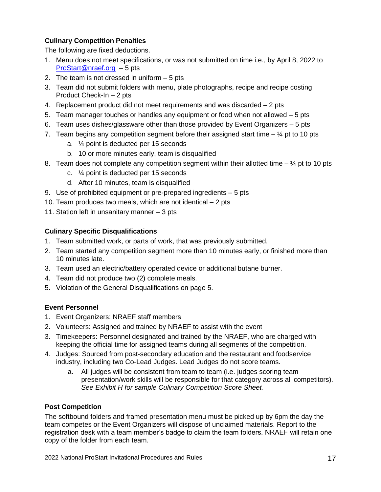# **Culinary Competition Penalties**

The following are fixed deductions.

- 1. Menu does not meet specifications, or was not submitted on time i.e., by April 8, 2022 to [ProStart@nraef.org](mailto:ProStart@nraef.org) – 5 pts
- 2. The team is not dressed in uniform 5 pts
- 3. Team did not submit folders with menu, plate photographs, recipe and recipe costing Product Check-In – 2 pts
- 4. Replacement product did not meet requirements and was discarded 2 pts
- 5. Team manager touches or handles any equipment or food when not allowed 5 pts
- 6. Team uses dishes/glassware other than those provided by Event Organizers 5 pts
- 7. Team begins any competition segment before their assigned start time  $\frac{1}{4}$  pt to 10 pts
	- a. ¼ point is deducted per 15 seconds
	- b. 10 or more minutes early, team is disqualified
- 8. Team does not complete any competition segment within their allotted time  $\frac{1}{4}$  pt to 10 pts
	- c. ¼ point is deducted per 15 seconds
	- d. After 10 minutes, team is disqualified
- 9. Use of prohibited equipment or pre-prepared ingredients 5 pts
- 10. Team produces two meals, which are not identical 2 pts
- 11. Station left in unsanitary manner 3 pts

## **Culinary Specific Disqualifications**

- 1. Team submitted work, or parts of work, that was previously submitted.
- 2. Team started any competition segment more than 10 minutes early, or finished more than 10 minutes late.
- 3. Team used an electric/battery operated device or additional butane burner.
- 4. Team did not produce two (2) complete meals.
- 5. Violation of the General Disqualifications on page 5.

## **Event Personnel**

- 1. Event Organizers: NRAEF staff members
- 2. Volunteers: Assigned and trained by NRAEF to assist with the event
- 3. Timekeepers: Personnel designated and trained by the NRAEF, who are charged with keeping the official time for assigned teams during all segments of the competition.
- 4. Judges: Sourced from post-secondary education and the restaurant and foodservice industry, including two Co-Lead Judges. Lead Judges do not score teams.
	- a. All judges will be consistent from team to team (i.e. judges scoring team presentation/work skills will be responsible for that category across all competitors). *See Exhibit H for sample Culinary Competition Score Sheet.*

## **Post Competition**

The softbound folders and framed presentation menu must be picked up by 6pm the day the team competes or the Event Organizers will dispose of unclaimed materials. Report to the registration desk with a team member's badge to claim the team folders. NRAEF will retain one copy of the folder from each team.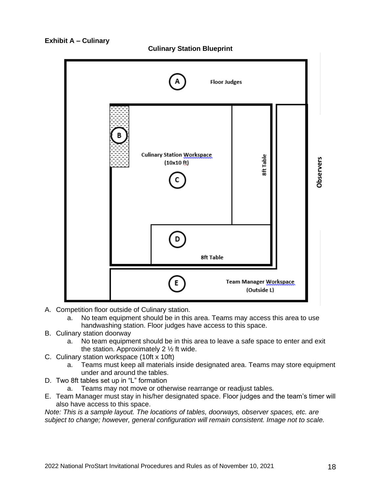



- A. Competition floor outside of Culinary station.
	- a. No team equipment should be in this area. Teams may access this area to use handwashing station. Floor judges have access to this space.
- B. Culinary station doorway
	- a. No team equipment should be in this area to leave a safe space to enter and exit the station. Approximately 2 ½ ft wide.
- C. Culinary station workspace (10ft x 10ft)
	- a. Teams must keep all materials inside designated area. Teams may store equipment under and around the tables.
- D. Two 8ft tables set up in "L" formation
	- a. Teams may not move or otherwise rearrange or readjust tables.
- E. Team Manager must stay in his/her designated space. Floor judges and the team's timer will also have access to this space.

*Note: This is a sample layout. The locations of tables, doorways, observer spaces, etc. are*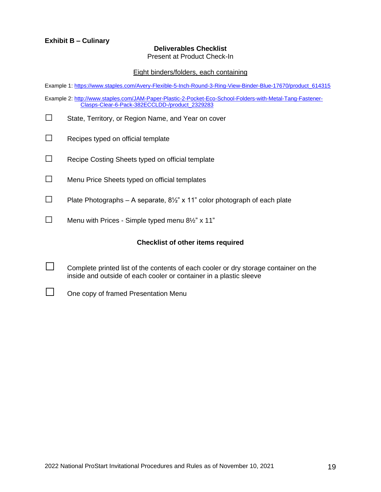#### **Deliverables Checklist**

Present at Product Check-In

#### Eight binders/folders, each containing

Example 1[: https://www.staples.com/Avery-Flexible-5-Inch-Round-3-Ring-View-Binder-Blue-17670/product\\_614315](https://www.staples.com/Avery-Flexible-5-Inch-Round-3-Ring-View-Binder-Blue-17670/product_614315)

Example 2[: http://www.staples.com/JAM-Paper-Plastic-2-Pocket-Eco-School-Folders-with-Metal-Tang-Fastener-](http://www.staples.com/JAM-Paper-Plastic-2-Pocket-Eco-School-Folders-with-Metal-Tang-Fastener-Clasps-Clear-6-Pack-382ECCLDD-/product_2329283)[Clasps-Clear-6-Pack-382ECCLDD-/product\\_2329283](http://www.staples.com/JAM-Paper-Plastic-2-Pocket-Eco-School-Folders-with-Metal-Tang-Fastener-Clasps-Clear-6-Pack-382ECCLDD-/product_2329283)

- □ State, Territory, or Region Name, and Year on cover
- $\Box$  Recipes typed on official template
- □ Recipe Costing Sheets typed on official template
- $\square$  Menu Price Sheets typed on official templates
- $\Box$  Plate Photographs A separate,  $8\frac{1}{2}$ " x 11" color photograph of each plate
- $\Box$  Menu with Prices Simple typed menu 8½" x 11"

#### **Checklist of other items required**

 $\Box$  Complete printed list of the contents of each cooler or dry storage container on the inside and outside of each cooler or container in a plastic sleeve

□ One copy of framed Presentation Menu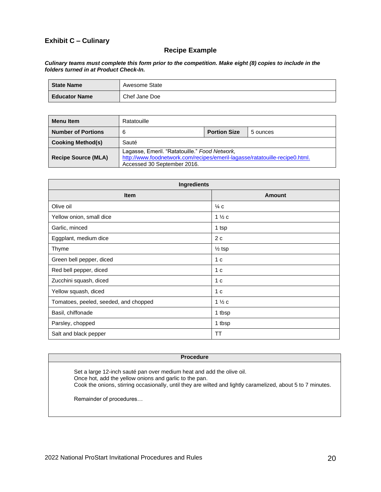# **Exhibit C – Culinary**

#### **Recipe Example**

#### *Culinary teams must complete this form prior to the competition. Make eight (8) copies to include in the folders turned in at Product Check-In.*

| State Name           | Awesome State |
|----------------------|---------------|
| <b>Educator Name</b> | Chef Jane Doe |

| Menu Item                  | Ratatouille                                                                                                                                                 |                     |          |
|----------------------------|-------------------------------------------------------------------------------------------------------------------------------------------------------------|---------------------|----------|
| <b>Number of Portions</b>  | 6                                                                                                                                                           | <b>Portion Size</b> | 5 ounces |
| <b>Cooking Method(s)</b>   | Sauté                                                                                                                                                       |                     |          |
| <b>Recipe Source (MLA)</b> | Lagasse, Emeril. "Ratatouille." Food Network,<br>http://www.foodnetwork.com/recipes/emeril-lagasse/ratatouille-recipe0.html.<br>Accessed 30 September 2016. |                     |          |

| Ingredients                           |                   |  |  |  |
|---------------------------------------|-------------------|--|--|--|
| <b>Item</b>                           | Amount            |  |  |  |
| Olive oil                             | $\frac{1}{4}$ C   |  |  |  |
| Yellow onion, small dice              | $1\frac{1}{2}c$   |  |  |  |
| Garlic, minced                        | 1 tsp             |  |  |  |
| Eggplant, medium dice                 | 2c                |  |  |  |
| Thyme                                 | $\frac{1}{2}$ tsp |  |  |  |
| Green bell pepper, diced              | 1 c               |  |  |  |
| Red bell pepper, diced                | 1 <sub>c</sub>    |  |  |  |
| Zucchini squash, diced                | 1 <sub>c</sub>    |  |  |  |
| Yellow squash, diced                  | 1 <sub>c</sub>    |  |  |  |
| Tomatoes, peeled, seeded, and chopped | $1\frac{1}{2}c$   |  |  |  |
| Basil, chiffonade                     | 1 tbsp            |  |  |  |
| Parsley, chopped                      | 1 tbsp            |  |  |  |
| Salt and black pepper                 | TT                |  |  |  |

#### **Procedure**

Set a large 12-inch sauté pan over medium heat and add the olive oil. Once hot, add the yellow onions and garlic to the pan. Cook the onions, stirring occasionally, until they are wilted and lightly caramelized, about 5 to 7 minutes.

Remainder of procedures…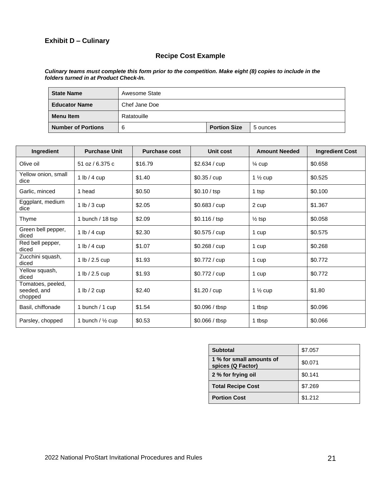## **Exhibit D – Culinary**

# **Recipe Cost Example**

#### *Culinary teams must complete this form prior to the competition. Make eight (8) copies to include in the folders turned in at Product Check-In.*

| <b>State Name</b>         | Awesome State |                     |          |
|---------------------------|---------------|---------------------|----------|
| <b>Educator Name</b>      | Chef Jane Doe |                     |          |
| <b>Menu Item</b>          | Ratatouille   |                     |          |
| <b>Number of Portions</b> | 6             | <b>Portion Size</b> | 5 ounces |

| Ingredient                                  | <b>Purchase Unit</b>        | <b>Purchase cost</b> | Unit cost      | <b>Amount Needed</b> | <b>Ingredient Cost</b> |
|---------------------------------------------|-----------------------------|----------------------|----------------|----------------------|------------------------|
| Olive oil                                   | 51 oz / 6.375 c             | \$16.79              | \$2.634 / cup  | $\frac{1}{4}$ cup    | \$0.658                |
| Yellow onion, small<br>dice                 | 1 lb / 4 cup                | \$1.40               | \$0.35 / cup   | 1 $\frac{1}{2}$ cup  | \$0.525                |
| Garlic, minced                              | 1 head                      | \$0.50               | \$0.10 / tsp   | 1 tsp                | \$0.100                |
| Eggplant, medium<br>dice                    | 1 lb / 3 cup                | \$2.05               | \$0.683 / cup  | 2 cup                | \$1.367                |
| Thyme                                       | 1 bunch / 18 tsp            | \$2.09               | \$0.116 / tsp  | $\frac{1}{2}$ tsp    | \$0.058                |
| Green bell pepper,<br>diced                 | 1 lb $/$ 4 cup              | \$2.30               | \$0.575 / cup  | 1 cup                | \$0.575                |
| Red bell pepper,<br>diced                   | 1 lb / 4 cup                | \$1.07               | \$0.268 / cup  | 1 cup                | \$0.268                |
| Zucchini squash,<br>diced                   | 1 lb $/$ 2.5 cup            | \$1.93               | \$0.772 / cup  | 1 cup                | \$0.772                |
| Yellow squash,<br>diced                     | 1 lb $/$ 2.5 cup            | \$1.93               | \$0.772 / cup  | 1 cup                | \$0.772                |
| Tomatoes, peeled,<br>seeded, and<br>chopped | 1 lb $/$ 2 cup              | \$2.40               | \$1.20 / cup   | 1 $\frac{1}{2}$ cup  | \$1.80                 |
| Basil, chiffonade                           | 1 bunch / 1 cup             | \$1.54               | \$0.096 / tbsp | 1 tbsp               | \$0.096                |
| Parsley, chopped                            | 1 bunch / $\frac{1}{2}$ cup | \$0.53               | \$0.066 / tbsp | 1 tbsp               | \$0.066                |

| <b>Subtotal</b>                               | \$7.057 |
|-----------------------------------------------|---------|
| 1 % for small amounts of<br>spices (Q Factor) | \$0.071 |
| 2 % for frying oil                            | \$0.141 |
| <b>Total Recipe Cost</b>                      | \$7.269 |
| <b>Portion Cost</b>                           | \$1.212 |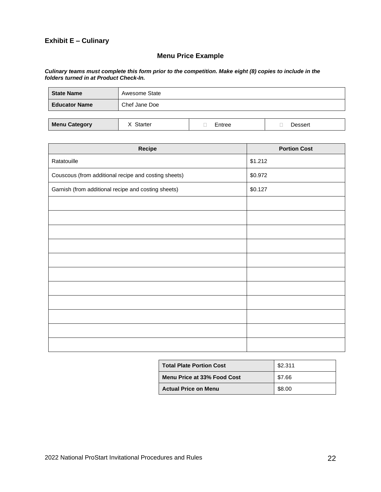## **Exhibit E – Culinary**

# **Menu Price Example**

#### *Culinary teams must complete this form prior to the competition. Make eight (8) copies to include in the folders turned in at Product Check-In.*

| <b>State Name</b>    | Awesome State |        |         |
|----------------------|---------------|--------|---------|
| <b>Educator Name</b> | Chef Jane Doe |        |         |
|                      |               |        |         |
| <b>Menu Category</b> | X Starter     | Entree | Dessert |

| Recipe                                               | <b>Portion Cost</b> |
|------------------------------------------------------|---------------------|
| Ratatouille                                          | \$1.212             |
| Couscous (from additional recipe and costing sheets) | \$0.972             |
| Garnish (from additional recipe and costing sheets)  | \$0.127             |
|                                                      |                     |
|                                                      |                     |
|                                                      |                     |
|                                                      |                     |
|                                                      |                     |
|                                                      |                     |
|                                                      |                     |
|                                                      |                     |
|                                                      |                     |
|                                                      |                     |
|                                                      |                     |

| <b>Total Plate Portion Cost</b> | \$2.311 |
|---------------------------------|---------|
| Menu Price at 33% Food Cost     | \$7.66  |
| <b>Actual Price on Menu</b>     | \$8.00  |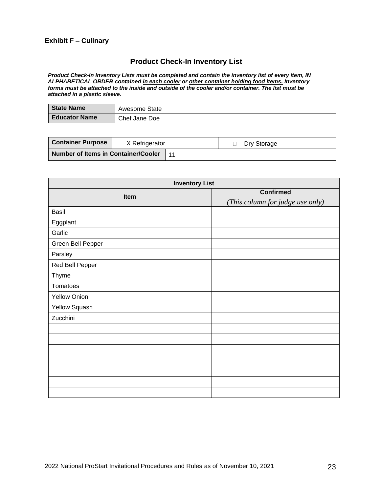## **Exhibit F – Culinary**

## **Product Check-In Inventory List**

*Product Check-In Inventory Lists must be completed and contain the inventory list of every item, IN ALPHABETICAL ORDER contained in each cooler or other container holding food items. Inventory forms must be attached to the inside and outside of the cooler and/or container. The list must be attached in a plastic sleeve.*

| State Name           | Awesome State |
|----------------------|---------------|
| <b>Educator Name</b> | Chef Jane Doe |

| <b>Container Purpose</b>                   | X Refrigerator |  | Dry Storage |
|--------------------------------------------|----------------|--|-------------|
| <b>Number of Items in Container/Cooler</b> |                |  |             |

| <b>Inventory List</b> |                                  |  |  |  |  |  |
|-----------------------|----------------------------------|--|--|--|--|--|
| Item                  | <b>Confirmed</b>                 |  |  |  |  |  |
|                       | (This column for judge use only) |  |  |  |  |  |
| Basil                 |                                  |  |  |  |  |  |
| Eggplant              |                                  |  |  |  |  |  |
| Garlic                |                                  |  |  |  |  |  |
| Green Bell Pepper     |                                  |  |  |  |  |  |
| Parsley               |                                  |  |  |  |  |  |
| Red Bell Pepper       |                                  |  |  |  |  |  |
| <b>Thyme</b>          |                                  |  |  |  |  |  |
| Tomatoes              |                                  |  |  |  |  |  |
| <b>Yellow Onion</b>   |                                  |  |  |  |  |  |
| Yellow Squash         |                                  |  |  |  |  |  |
| Zucchini              |                                  |  |  |  |  |  |
|                       |                                  |  |  |  |  |  |
|                       |                                  |  |  |  |  |  |
|                       |                                  |  |  |  |  |  |
|                       |                                  |  |  |  |  |  |
|                       |                                  |  |  |  |  |  |
|                       |                                  |  |  |  |  |  |
|                       |                                  |  |  |  |  |  |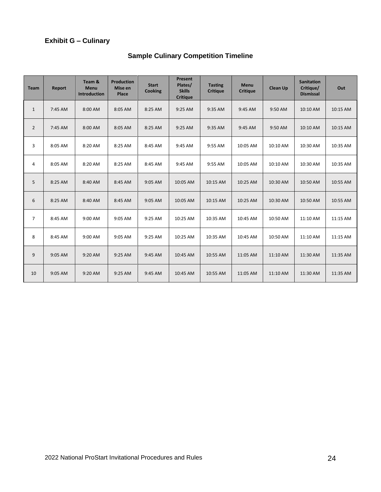# **Exhibit G – Culinary**

| <b>Team</b>    | Report  | Team &<br><b>Menu</b><br><b>Introduction</b> | <b>Production</b><br>Mise en<br>Place | <b>Start</b><br><b>Cooking</b> | <b>Present</b><br>Plates/<br><b>Skills</b><br><b>Critique</b> | <b>Tasting</b><br><b>Critique</b> | Menu<br><b>Critique</b> | <b>Clean Up</b> | <b>Sanitation</b><br>Critique/<br><b>Dismissal</b> | Out      |
|----------------|---------|----------------------------------------------|---------------------------------------|--------------------------------|---------------------------------------------------------------|-----------------------------------|-------------------------|-----------------|----------------------------------------------------|----------|
| $\mathbf{1}$   | 7:45 AM | 8:00 AM                                      | 8:05 AM                               | 8:25 AM                        | 9:25 AM                                                       | 9:35 AM                           | 9:45 AM                 | 9:50 AM         | 10:10 AM                                           | 10:15 AM |
| $\overline{2}$ | 7:45 AM | 8:00 AM                                      | 8:05 AM                               | 8:25 AM                        | 9:25 AM                                                       | 9:35 AM                           | 9:45 AM                 | 9:50 AM         | 10:10 AM                                           | 10:15 AM |
| 3              | 8:05 AM | 8:20 AM                                      | 8:25 AM                               | 8:45 AM                        | 9:45 AM                                                       | 9:55 AM                           | 10:05 AM                | 10:10 AM        | 10:30 AM                                           | 10:35 AM |
| 4              | 8:05 AM | 8:20 AM                                      | 8:25 AM                               | 8:45 AM                        | 9:45 AM                                                       | 9:55 AM                           | 10:05 AM                | 10:10 AM        | 10:30 AM                                           | 10:35 AM |
| 5              | 8:25 AM | 8:40 AM                                      | 8:45 AM                               | 9:05 AM                        | 10:05 AM                                                      | 10:15 AM                          | 10:25 AM                | 10:30 AM        | 10:50 AM                                           | 10:55 AM |
| 6              | 8:25 AM | 8:40 AM                                      | 8:45 AM                               | 9:05 AM                        | 10:05 AM                                                      | 10:15 AM                          | 10:25 AM                | 10:30 AM        | 10:50 AM                                           | 10:55 AM |
| $\overline{7}$ | 8:45 AM | 9:00 AM                                      | 9:05 AM                               | 9:25 AM                        | 10:25 AM                                                      | 10:35 AM                          | 10:45 AM                | 10:50 AM        | 11:10 AM                                           | 11:15 AM |
| 8              | 8:45 AM | 9:00 AM                                      | 9:05 AM                               | 9:25 AM                        | 10:25 AM                                                      | 10:35 AM                          | 10:45 AM                | 10:50 AM        | 11:10 AM                                           | 11:15 AM |
| 9              | 9:05 AM | 9:20 AM                                      | $9:25$ AM                             | 9:45 AM                        | 10:45 AM                                                      | 10:55 AM                          | 11:05 AM                | 11:10 AM        | 11:30 AM                                           | 11:35 AM |
| 10             | 9:05 AM | 9:20 AM                                      | 9:25 AM                               | 9:45 AM                        | 10:45 AM                                                      | 10:55 AM                          | 11:05 AM                | 11:10 AM        | 11:30 AM                                           | 11:35 AM |

# **Sample Culinary Competition Timeline**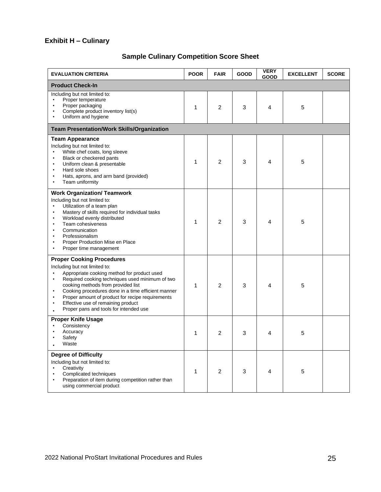# **Exhibit H – Culinary**

# **Sample Culinary Competition Score Sheet**

| <b>EVALUATION CRITERIA</b>                                                                                                                                                                                                                                                                                                                                                                                                                      | <b>POOR</b> | <b>FAIR</b>    | <b>GOOD</b> | <b>VERY</b><br><b>GOOD</b> | <b>EXCELLENT</b> | <b>SCORE</b> |  |
|-------------------------------------------------------------------------------------------------------------------------------------------------------------------------------------------------------------------------------------------------------------------------------------------------------------------------------------------------------------------------------------------------------------------------------------------------|-------------|----------------|-------------|----------------------------|------------------|--------------|--|
| <b>Product Check-In</b>                                                                                                                                                                                                                                                                                                                                                                                                                         |             |                |             |                            |                  |              |  |
| Including but not limited to:<br>Proper temperature<br>Proper packaging<br>Complete product inventory list(s)<br>Uniform and hygiene                                                                                                                                                                                                                                                                                                            | 1           | 2              | 3           | 4                          | 5                |              |  |
| <b>Team Presentation/Work Skills/Organization</b>                                                                                                                                                                                                                                                                                                                                                                                               |             |                |             |                            |                  |              |  |
| <b>Team Appearance</b><br>Including but not limited to:<br>White chef coats, long sleeve<br>$\bullet$<br>Black or checkered pants<br>$\bullet$<br>Uniform clean & presentable<br>$\bullet$<br>Hard sole shoes<br>Hats, aprons, and arm band (provided)<br>Team uniformity                                                                                                                                                                       | 1           | 2              | 3           | 4                          | 5                |              |  |
| <b>Work Organization/ Teamwork</b><br>Including but not limited to:<br>Utilization of a team plan<br>$\bullet$<br>Mastery of skills required for individual tasks<br>$\bullet$<br>Workload evenly distributed<br>Team cohesiveness<br>$\bullet$<br>Communication<br>Professionalism<br>٠<br>Proper Production Mise en Place<br>Proper time management                                                                                           | 1           | 2              | 3           | 4                          | 5                |              |  |
| <b>Proper Cooking Procedures</b><br>Including but not limited to:<br>Appropriate cooking method for product used<br>$\bullet$<br>Required cooking techniques used minimum of two<br>$\bullet$<br>cooking methods from provided list<br>Cooking procedures done in a time efficient manner<br>$\bullet$<br>Proper amount of product for recipe requirements<br>Effective use of remaining product<br>٠<br>Proper pans and tools for intended use | 1           | 2              | 3           | 4                          | 5                |              |  |
| <b>Proper Knife Usage</b><br>Consistency<br>Accuracy<br>Safety<br>Waste                                                                                                                                                                                                                                                                                                                                                                         | 1           | 2              | 3           | 4                          | 5                |              |  |
| <b>Degree of Difficulty</b><br>Including but not limited to:<br>Creativity<br>Complicated techniques<br>Preparation of item during competition rather than<br>using commercial product                                                                                                                                                                                                                                                          | 1           | $\overline{2}$ | 3           | 4                          | 5                |              |  |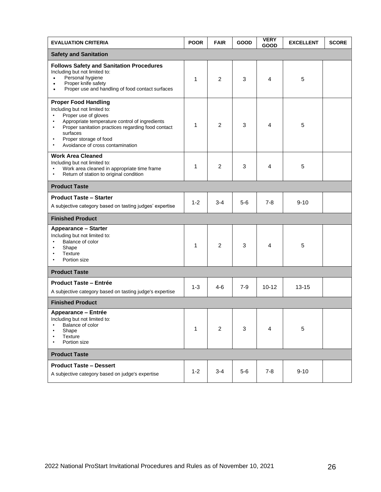| <b>EVALUATION CRITERIA</b>                                                                                                                                                                                                                                                                                                 | <b>POOR</b> | <b>FAIR</b>    | GOOD  | <b>VERY</b><br><b>GOOD</b> | <b>EXCELLENT</b> | <b>SCORE</b> |
|----------------------------------------------------------------------------------------------------------------------------------------------------------------------------------------------------------------------------------------------------------------------------------------------------------------------------|-------------|----------------|-------|----------------------------|------------------|--------------|
| <b>Safety and Sanitation</b>                                                                                                                                                                                                                                                                                               |             |                |       |                            |                  |              |
| <b>Follows Safety and Sanitation Procedures</b><br>Including but not limited to:<br>Personal hygiene<br>$\bullet$<br>Proper knife safety<br>$\bullet$<br>Proper use and handling of food contact surfaces<br>$\bullet$                                                                                                     | 1           | $\overline{2}$ | 3     | 4                          | 5                |              |
| <b>Proper Food Handling</b><br>Including but not limited to:<br>Proper use of gloves<br>$\bullet$<br>Appropriate temperature control of ingredients<br>Proper sanitation practices regarding food contact<br>$\bullet$<br>surfaces<br>Proper storage of food<br>$\bullet$<br>Avoidance of cross contamination<br>$\bullet$ | 1           | $\overline{2}$ | 3     | 4                          | 5                |              |
| <b>Work Area Cleaned</b><br>Including but not limited to:<br>Work area cleaned in appropriate time frame<br>Return of station to original condition                                                                                                                                                                        | 1           | $\overline{2}$ | 3     | 4                          | 5                |              |
| <b>Product Taste</b>                                                                                                                                                                                                                                                                                                       |             |                |       |                            |                  |              |
| <b>Product Taste - Starter</b><br>A subjective category based on tasting judges' expertise                                                                                                                                                                                                                                 | $1 - 2$     | 3-4            | 5-6   | 7-8                        | $9 - 10$         |              |
| <b>Finished Product</b>                                                                                                                                                                                                                                                                                                    |             |                |       |                            |                  |              |
| <b>Appearance - Starter</b><br>Including but not limited to:<br>Balance of color<br>Shape<br>$\bullet$<br><b>Texture</b><br>$\bullet$<br>Portion size                                                                                                                                                                      | 1           | 2              | 3     | 4                          | 5                |              |
| <b>Product Taste</b>                                                                                                                                                                                                                                                                                                       |             |                |       |                            |                  |              |
| <b>Product Taste – Entrée</b><br>A subjective category based on tasting judge's expertise                                                                                                                                                                                                                                  | $1 - 3$     | $4 - 6$        | $7-9$ | $10 - 12$                  | $13 - 15$        |              |
| <b>Finished Product</b>                                                                                                                                                                                                                                                                                                    |             |                |       |                            |                  |              |
| Appearance – Entrée<br>Including but not limited to:<br>Balance of color<br>Shape<br><b>Texture</b><br>Portion size                                                                                                                                                                                                        | 1           | $\overline{c}$ | 3     | 4                          | 5                |              |
| <b>Product Taste</b>                                                                                                                                                                                                                                                                                                       |             |                |       |                            |                  |              |
| <b>Product Taste - Dessert</b><br>A subjective category based on judge's expertise                                                                                                                                                                                                                                         | $1 - 2$     | $3 - 4$        | $5-6$ | $7 - 8$                    | $9 - 10$         |              |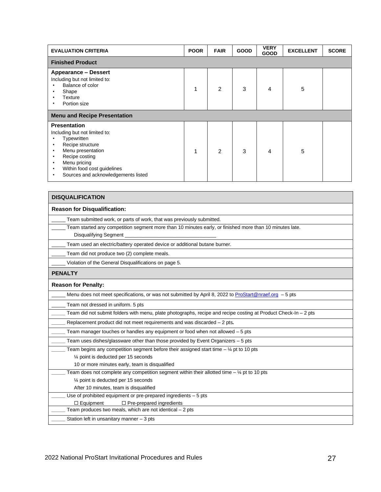| <b>EVALUATION CRITERIA</b>                                                                                                                                                                                                                                                              | <b>POOR</b> | <b>FAIR</b>    | <b>GOOD</b> | <b>VERY</b><br><b>GOOD</b> | <b>EXCELLENT</b> | <b>SCORE</b> |
|-----------------------------------------------------------------------------------------------------------------------------------------------------------------------------------------------------------------------------------------------------------------------------------------|-------------|----------------|-------------|----------------------------|------------------|--------------|
| <b>Finished Product</b>                                                                                                                                                                                                                                                                 |             |                |             |                            |                  |              |
| <b>Appearance - Dessert</b><br>Including but not limited to:<br>Balance of color<br>$\bullet$<br>Shape<br>٠<br>Texture<br>$\bullet$<br>Portion size<br>٠                                                                                                                                |             | $\overline{2}$ | 3           | 4                          | 5                |              |
| <b>Menu and Recipe Presentation</b>                                                                                                                                                                                                                                                     |             |                |             |                            |                  |              |
| <b>Presentation</b><br>Including but not limited to:<br>Typewritten<br>٠<br>Recipe structure<br>٠<br>Menu presentation<br>$\bullet$<br>Recipe costing<br>$\bullet$<br>Menu pricing<br>$\bullet$<br>Within food cost guidelines<br>$\bullet$<br>Sources and acknowledgements listed<br>٠ |             | $\overline{2}$ | 3           | 4                          | 5                |              |

| <b>DISQUALIFICATION</b>                                                                                                          |
|----------------------------------------------------------------------------------------------------------------------------------|
| <b>Reason for Disqualification:</b>                                                                                              |
| Team submitted work, or parts of work, that was previously submitted.                                                            |
| Team started any competition segment more than 10 minutes early, or finished more than 10 minutes late.<br>Disqualifying Segment |
| Team used an electric/battery operated device or additional butane burner.                                                       |
| Team did not produce two (2) complete meals.                                                                                     |
| Violation of the General Disqualifications on page 5.                                                                            |
| <b>PENALTY</b>                                                                                                                   |
| <b>Reason for Penalty:</b>                                                                                                       |
| Menu does not meet specifications, or was not submitted by April 8, 2022 to ProStart@nraef.org - 5 pts                           |
| Team not dressed in uniform. 5 pts                                                                                               |
| Team did not submit folders with menu, plate photographs, recipe and recipe costing at Product Check-In $-$ 2 pts                |
| Replacement product did not meet requirements and was discarded $-2$ pts.                                                        |
| Team manager touches or handles any equipment or food when not allowed $-5$ pts                                                  |
| Team uses dishes/glassware other than those provided by Event Organizers – 5 pts                                                 |
| Team begins any competition segment before their assigned start time $-$ 1/4 pt to 10 pts                                        |
| 1/4 point is deducted per 15 seconds                                                                                             |
| 10 or more minutes early, team is disqualified                                                                                   |
| Team does not complete any competition segment within their allotted time $-$ 1/4 pt to 10 pts                                   |
| 1⁄4 point is deducted per 15 seconds                                                                                             |
| After 10 minutes, team is disqualified                                                                                           |
| Use of prohibited equipment or pre-prepared ingredients $-5$ pts                                                                 |
| $\Box$ Pre-prepared ingredients<br>$\Box$ Equipment                                                                              |
| Team produces two meals, which are not identical $-2$ pts                                                                        |
| Station left in unsanitary manner $-3$ pts                                                                                       |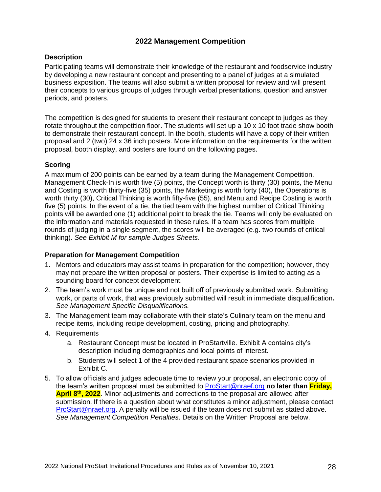# **2022 Management Competition**

#### **Description**

Participating teams will demonstrate their knowledge of the restaurant and foodservice industry by developing a new restaurant concept and presenting to a panel of judges at a simulated business exposition. The teams will also submit a written proposal for review and will present their concepts to various groups of judges through verbal presentations, question and answer periods, and posters.

The competition is designed for students to present their restaurant concept to judges as they rotate throughout the competition floor. The students will set up a  $10 \times 10$  foot trade show booth to demonstrate their restaurant concept. In the booth, students will have a copy of their written proposal and 2 (two) 24 x 36 inch posters. More information on the requirements for the written proposal, booth display, and posters are found on the following pages.

#### **Scoring**

A maximum of 200 points can be earned by a team during the Management Competition. Management Check-In is worth five (5) points, the Concept worth is thirty (30) points, the Menu and Costing is worth thirty-five (35) points, the Marketing is worth forty (40), the Operations is worth thirty (30), Critical Thinking is worth fifty-five (55), and Menu and Recipe Costing is worth five (5) points. In the event of a tie, the tied team with the highest number of Critical Thinking points will be awarded one (1) additional point to break the tie. Teams will only be evaluated on the information and materials requested in these rules. If a team has scores from multiple rounds of judging in a single segment, the scores will be averaged (e.g. two rounds of critical thinking). *See Exhibit M for sample Judges Sheets.*

#### **Preparation for Management Competition**

- 1. Mentors and educators may assist teams in preparation for the competition; however, they may not prepare the written proposal or posters. Their expertise is limited to acting as a sounding board for concept development.
- 2. The team's work must be unique and not built off of previously submitted work. Submitting work, or parts of work, that was previously submitted will result in immediate disqualification**.**  *See Management Specific Disqualifications.*
- 3. The Management team may collaborate with their state's Culinary team on the menu and recipe items, including recipe development, costing, pricing and photography.
- 4. Requirements
	- a. Restaurant Concept must be located in ProStartville. Exhibit A contains city's description including demographics and local points of interest.
	- b. Students will select 1 of the 4 provided restaurant space scenarios provided in Exhibit C.
- 5. To allow officials and judges adequate time to review your proposal, an electronic copy of the team's written proposal must be submitted to [ProStart@nraef.org](mailto:ProStart@nraef.org) **no later than Friday, April 8th , 2022**. Minor adjustments and corrections to the proposal are allowed after submission. If there is a question about what constitutes a minor adjustment, please contact [ProStart@nraef.org.](mailto:ProStart@nraef.org) A penalty will be issued if the team does not submit as stated above. *See Management Competition Penalties*. Details on the Written Proposal are below.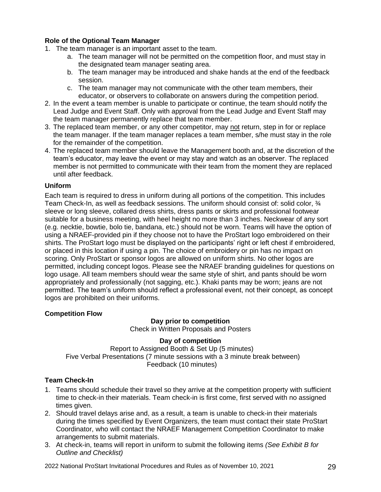#### **Role of the Optional Team Manager**

1. The team manager is an important asset to the team.

- a. The team manager will not be permitted on the competition floor, and must stay in the designated team manager seating area.
- b. The team manager may be introduced and shake hands at the end of the feedback session.
- c. The team manager may not communicate with the other team members, their educator, or observers to collaborate on answers during the competition period.
- 2. In the event a team member is unable to participate or continue, the team should notify the Lead Judge and Event Staff. Only with approval from the Lead Judge and Event Staff may the team manager permanently replace that team member.
- 3. The replaced team member, or any other competitor, may not return, step in for or replace the team manager. If the team manager replaces a team member, s/he must stay in the role for the remainder of the competition.
- 4. The replaced team member should leave the Management booth and, at the discretion of the team's educator, may leave the event or may stay and watch as an observer. The replaced member is not permitted to communicate with their team from the moment they are replaced until after feedback.

#### **Uniform**

Each team is required to dress in uniform during all portions of the competition. This includes Team Check-In, as well as feedback sessions. The uniform should consist of: solid color, ¾ sleeve or long sleeve, collared dress shirts, dress pants or skirts and professional footwear suitable for a business meeting, with heel height no more than 3 inches. Neckwear of any sort (e.g. necktie, bowtie, bolo tie, bandana, etc.) should not be worn. Teams will have the option of using a NRAEF-provided pin if they choose not to have the ProStart logo embroidered on their shirts. The ProStart logo must be displayed on the participants' right or left chest if embroidered, or placed in this location if using a pin. The choice of embroidery or pin has no impact on scoring. Only ProStart or sponsor logos are allowed on uniform shirts. No other logos are permitted, including concept logos. Please see the NRAEF branding guidelines for questions on logo usage. All team members should wear the same style of shirt, and pants should be worn appropriately and professionally (not sagging, etc.). Khaki pants may be worn; jeans are not permitted. The team's uniform should reflect a professional event, not their concept, as concept logos are prohibited on their uniforms.

#### **Competition Flow**

# **Day prior to competition**

Check in Written Proposals and Posters

#### **Day of competition**

Report to Assigned Booth & Set Up (5 minutes) Five Verbal Presentations (7 minute sessions with a 3 minute break between) Feedback (10 minutes)

#### **Team Check-In**

- 1. Teams should schedule their travel so they arrive at the competition property with sufficient time to check-in their materials. Team check-in is first come, first served with no assigned times given.
- 2. Should travel delays arise and, as a result, a team is unable to check-in their materials during the times specified by Event Organizers, the team must contact their state ProStart Coordinator, who will contact the NRAEF Management Competition Coordinator to make arrangements to submit materials.
- 3. At check-in, teams will report in uniform to submit the following items *(See Exhibit B for Outline and Checklist)*

2022 National ProStart Invitational Procedures and Rules as of November 10, 2021 29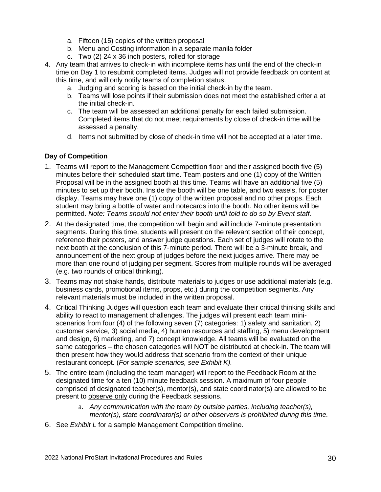- a. Fifteen (15) copies of the written proposal
- b. Menu and Costing information in a separate manila folder
- c. Two (2) 24 x 36 inch posters, rolled for storage
- 4. Any team that arrives to check-in with incomplete items has until the end of the check-in time on Day 1 to resubmit completed items. Judges will not provide feedback on content at this time, and will only notify teams of completion status.
	- a. Judging and scoring is based on the initial check-in by the team.
	- b. Teams will lose points if their submission does not meet the established criteria at the initial check-in.
	- c. The team will be assessed an additional penalty for each failed submission. Completed items that do not meet requirements by close of check-in time will be assessed a penalty.
	- d. Items not submitted by close of check-in time will not be accepted at a later time.

## **Day of Competition**

- 1. Teams will report to the Management Competition floor and their assigned booth five (5) minutes before their scheduled start time. Team posters and one (1) copy of the Written Proposal will be in the assigned booth at this time. Teams will have an additional five (5) minutes to set up their booth. Inside the booth will be one table, and two easels, for poster display. Teams may have one (1) copy of the written proposal and no other props. Each student may bring a bottle of water and notecards into the booth. No other items will be permitted. *Note: Teams should not enter their booth until told to do so by Event staff.*
- 2. At the designated time, the competition will begin and will include 7-minute presentation segments. During this time, students will present on the relevant section of their concept, reference their posters, and answer judge questions. Each set of judges will rotate to the next booth at the conclusion of this 7-minute period. There will be a 3-minute break, and announcement of the next group of judges before the next judges arrive. There may be more than one round of judging per segment. Scores from multiple rounds will be averaged (e.g. two rounds of critical thinking).
- 3. Teams may not shake hands, distribute materials to judges or use additional materials (e.g. business cards, promotional items, props, etc.) during the competition segments. Any relevant materials must be included in the written proposal.
- 4. Critical Thinking Judges will question each team and evaluate their critical thinking skills and ability to react to management challenges. The judges will present each team miniscenarios from four (4) of the following seven (7) categories: 1) safety and sanitation, 2) customer service, 3) social media, 4) human resources and staffing, 5) menu development and design, 6) marketing, and 7) concept knowledge. All teams will be evaluated on the same categories – the chosen categories will NOT be distributed at check-in. The team will then present how they would address that scenario from the context of their unique restaurant concept. (*For sample scenarios, see Exhibit K).*
- 5. The entire team (including the team manager) will report to the Feedback Room at the designated time for a ten (10) minute feedback session. A maximum of four people comprised of designated teacher(s), mentor(s), and state coordinator(s) are allowed to be present to observe only during the Feedback sessions.
	- a. *Any communication with the team by outside parties, including teacher(s), mentor(s), state coordinator(s) or other observers is prohibited during this time.*
- 6. See *Exhibit L* for a sample Management Competition timeline.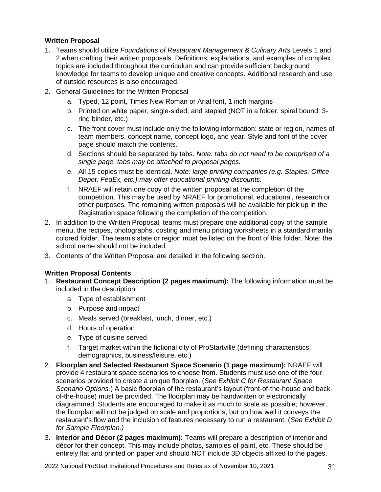## **Written Proposal**

- 1. Teams should utilize *Foundations of Restaurant Management & Culinary Arts* Levels 1 and 2 when crafting their written proposals. Definitions, explanations, and examples of complex topics are included throughout the curriculum and can provide sufficient background knowledge for teams to develop unique and creative concepts. Additional research and use of outside resources is also encouraged.
- 2. General Guidelines for the Written Proposal
	- a. Typed, 12 point, Times New Roman or Arial font, 1 inch margins
	- b. Printed on white paper, single-sided, and stapled (NOT in a folder, spiral bound, 3 ring binder, etc.)
	- c. The front cover must include only the following information: state or region, names of team members, concept name, concept logo, and year. Style and font of the cover page should match the contents.
	- d. Sections should be separated by tabs. *Note: tabs do not need to be comprised of a single page, tabs may be attached to proposal pages.*
	- e. All 15 copies must be identical. *Note: large printing companies (e.g. Staples, Office Depot, FedEx, etc.) may offer educational printing discounts.*
	- f. NRAEF will retain one copy of the written proposal at the completion of the competition. This may be used by NRAEF for promotional, educational, research or other purposes. The remaining written proposals will be available for pick up in the Registration space following the completion of the competition.
- 2. In addition to the Written Proposal, teams must prepare one additional copy of the sample menu, the recipes, photographs, costing and menu pricing worksheets in a standard manila colored folder. The team's state or region must be listed on the front of this folder. Note: the school name should not be included.
- 3. Contents of the Written Proposal are detailed in the following section.

#### **Written Proposal Contents**

- 1. **Restaurant Concept Description (2 pages maximum):** The following information must be included in the description:
	- a. Type of establishment
	- b. Purpose and impact
	- c. Meals served (breakfast, lunch, dinner, etc.)
	- d. Hours of operation
	- e. Type of cuisine served
	- f. Target market within the fictional city of ProStartville (defining characteristics, demographics, business/leisure, etc.)
- 2. **Floorplan and Selected Restaurant Space Scenario (1 page maximum):** NRAEF will provide 4 restaurant space scenarios to choose from. Students must use one of the four scenarios provided to create a unique floorplan. (*See Exhibit C for Restaurant Space Scenario Options.*) A basic floorplan of the restaurant's layout (front-of-the-house and backof-the-house) must be provided. The floorplan may be handwritten or electronically diagrammed. Students are encouraged to make it as much to scale as possible; however, the floorplan will not be judged on scale and proportions, but on how well it conveys the restaurant's flow and the inclusion of features necessary to run a restaurant. (*See Exhibit D for Sample Floorplan.)*
- 3. **Interior and Décor (2 pages maximum):** Teams will prepare a description of interior and décor for their concept. This may include photos, samples of paint, etc. These should be entirely flat and printed on paper and should NOT include 3D objects affixed to the pages.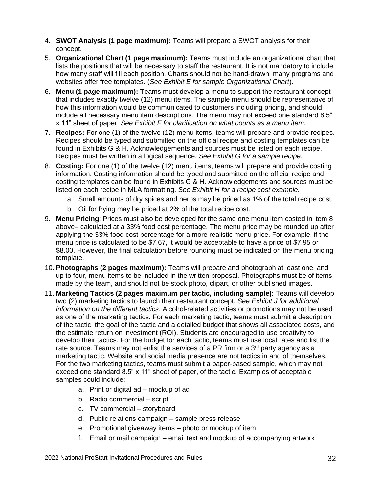- 4. **SWOT Analysis (1 page maximum):** Teams will prepare a SWOT analysis for their concept.
- 5. **Organizational Chart (1 page maximum):** Teams must include an organizational chart that lists the positions that will be necessary to staff the restaurant. It is not mandatory to include how many staff will fill each position. Charts should not be hand-drawn; many programs and websites offer free templates. (*See Exhibit E for sample Organizational Chart*).
- 6. **Menu (1 page maximum):** Teams must develop a menu to support the restaurant concept that includes exactly twelve (12) menu items. The sample menu should be representative of how this information would be communicated to customers including pricing, and should include all necessary menu item descriptions. The menu may not exceed one standard 8.5" x 11" sheet of paper. *See Exhibit F for clarification on what counts as a menu item.*
- 7. **Recipes:** For one (1) of the twelve (12) menu items, teams will prepare and provide recipes. Recipes should be typed and submitted on the official recipe and costing templates can be found in Exhibits G & H. Acknowledgements and sources must be listed on each recipe. Recipes must be written in a logical sequence. *See Exhibit G for a sample recipe.*
- 8. **Costing:** For one (1) of the twelve (12) menu items, teams will prepare and provide costing information. Costing information should be typed and submitted on the official recipe and costing templates can be found in Exhibits G & H. Acknowledgements and sources must be listed on each recipe in MLA formatting. *See Exhibit H for a recipe cost example.*
	- a. Small amounts of dry spices and herbs may be priced as 1% of the total recipe cost.
	- b. Oil for frying may be priced at 2% of the total recipe cost.
- 9. **Menu Pricing**: Prices must also be developed for the same one menu item costed in item 8 above– calculated at a 33% food cost percentage. The menu price may be rounded up after applying the 33% food cost percentage for a more realistic menu price. For example, if the menu price is calculated to be \$7.67, it would be acceptable to have a price of \$7.95 or \$8.00. However, the final calculation before rounding must be indicated on the menu pricing template.
- 10. **Photographs (2 pages maximum):** Teams will prepare and photograph at least one, and up to four, menu items to be included in the written proposal. Photographs must be of items made by the team, and should not be stock photo, clipart, or other published images.
- 11. **Marketing Tactics (2 pages maximum per tactic, including sample):** Teams will develop two (2) marketing tactics to launch their restaurant concept. *See Exhibit J for additional information on the different tactics*. Alcohol-related activities or promotions may not be used as one of the marketing tactics. For each marketing tactic, teams must submit a description of the tactic, the goal of the tactic and a detailed budget that shows all associated costs, and the estimate return on investment (ROI). Students are encouraged to use creativity to develop their tactics. For the budget for each tactic, teams must use local rates and list the rate source. Teams may not enlist the services of a PR firm or a  $3<sup>rd</sup>$  party agency as a marketing tactic. Website and social media presence are not tactics in and of themselves. For the two marketing tactics, teams must submit a paper-based sample, which may not exceed one standard 8.5" x 11" sheet of paper, of the tactic. Examples of acceptable samples could include:
	- a. Print or digital ad mockup of ad
	- b. Radio commercial script
	- c. TV commercial storyboard
	- d. Public relations campaign sample press release
	- e. Promotional giveaway items photo or mockup of item
	- f. Email or mail campaign email text and mockup of accompanying artwork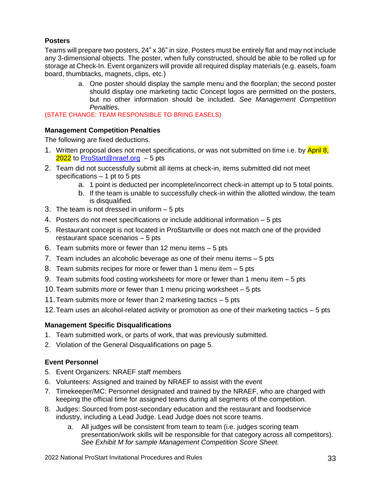## **Posters**

Teams will prepare two posters, 24" x 36" in size. Posters must be entirely flat and may not include any 3-dimensional objects. The poster, when fully constructed, should be able to be rolled up for storage at Check-In. Event organizers will provide all required display materials (e.g. easels, foam board, thumbtacks, magnets, clips, etc.)

> a. One poster should display the sample menu and the floorplan; the second poster should display one marketing tactic Concept logos are permitted on the posters, but no other information should be included. *See Management Competition Penalties.*

(STATE CHANGE: TEAM RESPONSIBLE TO BRING EASELS)

## **Management Competition Penalties**

The following are fixed deductions.

- 1. Written proposal does not meet specifications, or was not submitted on time i.e. by April 8, 2022 to [ProStart@nraef.org](mailto:ProStart@nraef.org) - 5 pts
- 2. Team did not successfully submit all items at check-in, items submitted did not meet specifications – 1 pt to 5 pts
	- a. 1 point is deducted per incomplete/incorrect check-in attempt up to 5 total points.
	- b. If the team is unable to successfully check-in within the allotted window, the team is disqualified.
- 3. The team is not dressed in uniform 5 pts
- 4. Posters do not meet specifications or include additional information 5 pts
- 5. Restaurant concept is not located in ProStartville or does not match one of the provided restaurant space scenarios – 5 pts
- 6. Team submits more or fewer than 12 menu items 5 pts
- 7. Team includes an alcoholic beverage as one of their menu items 5 pts
- 8. Team submits recipes for more or fewer than 1 menu item 5 pts
- 9. Team submits food costing worksheets for more or fewer than 1 menu item 5 pts
- 10.Team submits more or fewer than 1 menu pricing worksheet 5 pts
- 11.Team submits more or fewer than 2 marketing tactics 5 pts
- 12.Team uses an alcohol-related activity or promotion as one of their marketing tactics 5 pts

## **Management Specific Disqualifications**

- 1. Team submitted work, or parts of work, that was previously submitted.
- 2. Violation of the General Disqualifications on page 5.

## **Event Personnel**

- 5. Event Organizers: NRAEF staff members
- 6. Volunteers: Assigned and trained by NRAEF to assist with the event
- 7. Timekeeper/MC: Personnel designated and trained by the NRAEF, who are charged with keeping the official time for assigned teams during all segments of the competition.
- 8. Judges: Sourced from post-secondary education and the restaurant and foodservice industry, including a Lead Judge. Lead Judge does not score teams.
	- a. All judges will be consistent from team to team (i.e. judges scoring team presentation/work skills will be responsible for that category across all competitors). *See Exhibit M for sample Management Competition Score Sheet.*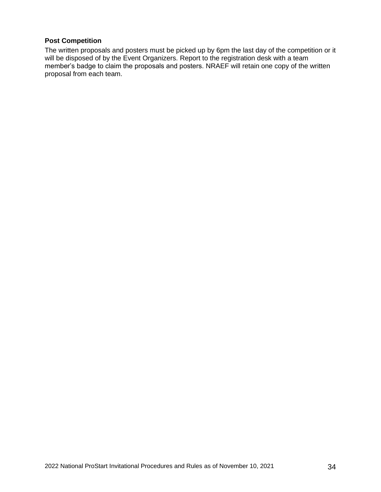## **Post Competition**

The written proposals and posters must be picked up by 6pm the last day of the competition or it will be disposed of by the Event Organizers. Report to the registration desk with a team member's badge to claim the proposals and posters. NRAEF will retain one copy of the written proposal from each team.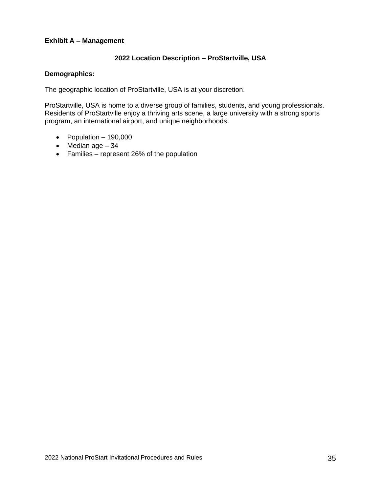#### **Exhibit A – Management**

## **2022 Location Description – ProStartville, USA**

#### **Demographics:**

The geographic location of ProStartville, USA is at your discretion.

ProStartville, USA is home to a diverse group of families, students, and young professionals. Residents of ProStartville enjoy a thriving arts scene, a large university with a strong sports program, an international airport, and unique neighborhoods.

- Population  $-190,000$
- Median age  $-34$
- Families represent 26% of the population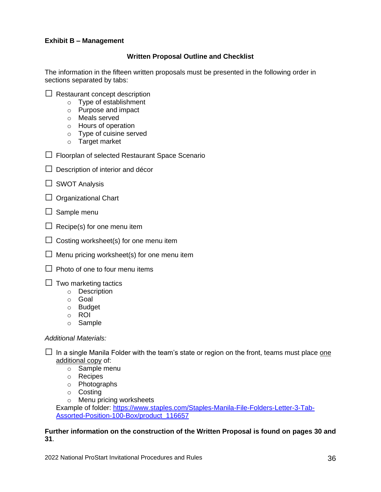#### **Exhibit B – Management**

#### **Written Proposal Outline and Checklist**

The information in the fifteen written proposals must be presented in the following order in sections separated by tabs:

- $\Box$  Restaurant concept description
	- o Type of establishment
	- o Purpose and impact
	- o Meals served
	- o Hours of operation
	- o Type of cuisine served
	- o Target market
- $\Box$  Floorplan of selected Restaurant Space Scenario
- $\Box$  Description of interior and décor
- $\Box$  SWOT Analysis
- $\Box$  Organizational Chart
- $\Box$  Sample menu
- $\Box$  Recipe(s) for one menu item
- $\Box$  Costing worksheet(s) for one menu item
- $\Box$  Menu pricing worksheet(s) for one menu item
- $\Box$  Photo of one to four menu items
- $\Box$  Two marketing tactics
	- o Description
	- o Goal
	- o Budget
	- o ROI
	- o Sample

#### *Additional Materials:*

- $\Box$  In a single Manila Folder with the team's state or region on the front, teams must place one additional copy of:
	- o Sample menu
	- o Recipes
	- o Photographs
	- o Costing
	- o Menu pricing worksheets

Example of folder: [https://www.staples.com/Staples-Manila-File-Folders-Letter-3-Tab-](https://www.staples.com/Staples-Manila-File-Folders-Letter-3-Tab-Assorted-Position-100-Box/product_116657)[Assorted-Position-100-Box/product\\_116657](https://www.staples.com/Staples-Manila-File-Folders-Letter-3-Tab-Assorted-Position-100-Box/product_116657)

#### **Further information on the construction of the Written Proposal is found on pages 30 and 31**.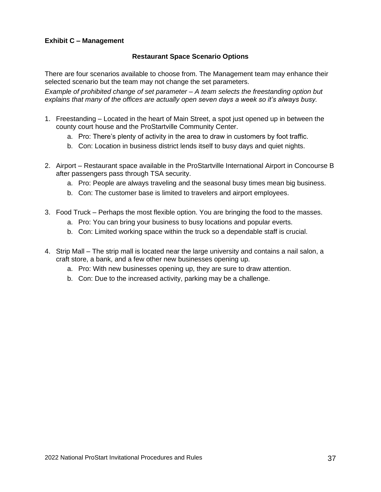#### **Exhibit C – Management**

## **Restaurant Space Scenario Options**

There are four scenarios available to choose from. The Management team may enhance their selected scenario but the team may not change the set parameters.

*Example of prohibited change of set parameter – A team selects the freestanding option but explains that many of the offices are actually open seven days a week so it's always busy.*

- 1. Freestanding Located in the heart of Main Street, a spot just opened up in between the county court house and the ProStartville Community Center.
	- a. Pro: There's plenty of activity in the area to draw in customers by foot traffic.
	- b. Con: Location in business district lends itself to busy days and quiet nights.
- 2. Airport Restaurant space available in the ProStartville International Airport in Concourse B after passengers pass through TSA security.
	- a. Pro: People are always traveling and the seasonal busy times mean big business.
	- b. Con: The customer base is limited to travelers and airport employees.
- 3. Food Truck Perhaps the most flexible option. You are bringing the food to the masses.
	- a. Pro: You can bring your business to busy locations and popular everts.
	- b. Con: Limited working space within the truck so a dependable staff is crucial.
- 4. Strip Mall The strip mall is located near the large university and contains a nail salon, a craft store, a bank, and a few other new businesses opening up.
	- a. Pro: With new businesses opening up, they are sure to draw attention.
	- b. Con: Due to the increased activity, parking may be a challenge.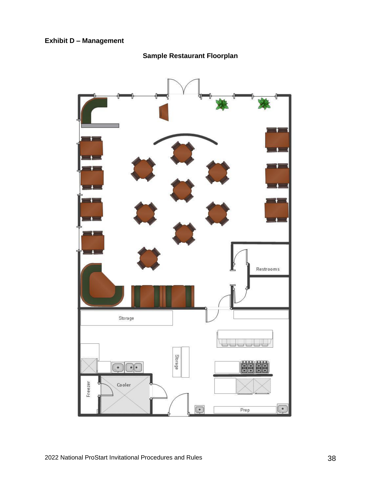

**Sample Restaurant Floorplan**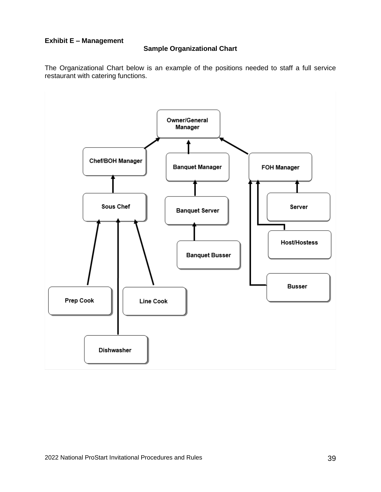#### **Exhibit E – Management**

## **Sample Organizational Chart**

The Organizational Chart below is an example of the positions needed to staff a full service restaurant with catering functions.

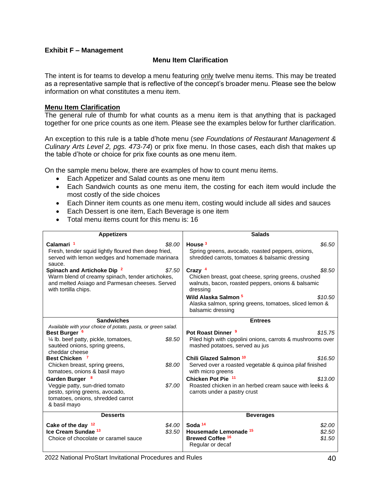#### **Exhibit F – Management**

#### **Menu Item Clarification**

The intent is for teams to develop a menu featuring only twelve menu items. This may be treated as a representative sample that is reflective of the concept's broader menu. Please see the below information on what constitutes a menu item.

#### **Menu Item Clarification**

The general rule of thumb for what counts as a menu item is that anything that is packaged together for one price counts as one item. Please see the examples below for further clarification.

An exception to this rule is a table d'hote menu (*see Foundations of Restaurant Management & Culinary Arts Level 2, pgs. 473-74*) or prix fixe menu. In those cases, each dish that makes up the table d'hote or choice for prix fixe counts as one menu item.

On the sample menu below, there are examples of how to count menu items.

- Each Appetizer and Salad counts as one menu item
- Each Sandwich counts as one menu item, the costing for each item would include the most costly of the side choices
- Each Dinner item counts as one menu item, costing would include all sides and sauces
- Each Dessert is one item, Each Beverage is one item
- Total menu items count for this menu is: 16

| <b>Appetizers</b>                                                                                                                                                    |                  | <b>Salads</b>                                                                                                                      |                            |
|----------------------------------------------------------------------------------------------------------------------------------------------------------------------|------------------|------------------------------------------------------------------------------------------------------------------------------------|----------------------------|
| Calamari <sup>1</sup><br>Fresh, tender squid lightly floured then deep fried,<br>served with lemon wedges and homemade marinara<br>sauce.                            | \$8.00           | House <sup>3</sup><br>Spring greens, avocado, roasted peppers, onions,<br>shredded carrots, tomatoes & balsamic dressing           | \$6.50                     |
| Spinach and Artichoke Dip <sup>2</sup><br>Warm blend of creamy spinach, tender artichokes,<br>and melted Asiago and Parmesan cheeses. Served<br>with tortilla chips. | \$7.50           | Crazy $4$<br>Chicken breast, goat cheese, spring greens, crushed<br>walnuts, bacon, roasted peppers, onions & balsamic<br>dressing | \$8.50                     |
|                                                                                                                                                                      |                  | Wild Alaska Salmon <sup>5</sup><br>Alaska salmon, spring greens, tomatoes, sliced lemon &<br>balsamic dressing                     | \$10.50                    |
| <b>Sandwiches</b>                                                                                                                                                    |                  | <b>Entrees</b>                                                                                                                     |                            |
| Available with your choice of potato, pasta, or green salad.<br>Best Burger <sup>6</sup>                                                                             | \$8.50           | Pot Roast Dinner <sup>9</sup>                                                                                                      | \$15.75                    |
| 1/4 lb. beef patty, pickle, tomatoes,<br>sautéed onions, spring greens,<br>cheddar cheese                                                                            |                  | Piled high with cippolini onions, carrots & mushrooms over<br>mashed potatoes, served au jus                                       |                            |
| <b>Best Chicken</b>                                                                                                                                                  |                  | Chili Glazed Salmon <sup>10</sup>                                                                                                  | \$16.50                    |
| Chicken breast, spring greens,<br>tomatoes, onions & basil mayo                                                                                                      | \$8.00           | Served over a roasted vegetable & quinoa pilaf finished<br>with micro greens                                                       |                            |
| Garden Burger 8                                                                                                                                                      |                  | Chicken Pot Pie 11                                                                                                                 | \$13.00                    |
| Veggie patty, sun-dried tomato<br>pesto, spring greens, avocado,<br>tomatoes, onions, shredded carrot<br>& basil mayo                                                | \$7.00           | Roasted chicken in an herbed cream sauce with leeks &<br>carrots under a pastry crust                                              |                            |
| <b>Desserts</b>                                                                                                                                                      |                  | <b>Beverages</b>                                                                                                                   |                            |
| Cake of the day <sup>12</sup><br>Ice Cream Sundae <sup>13</sup><br>Choice of chocolate or caramel sauce                                                              | \$4.00<br>\$3.50 | Soda <sup>14</sup><br><b>Housemade Lemonade 15</b><br><b>Brewed Coffee 16</b><br>Regular or decaf                                  | \$2.00<br>\$2.50<br>\$1.50 |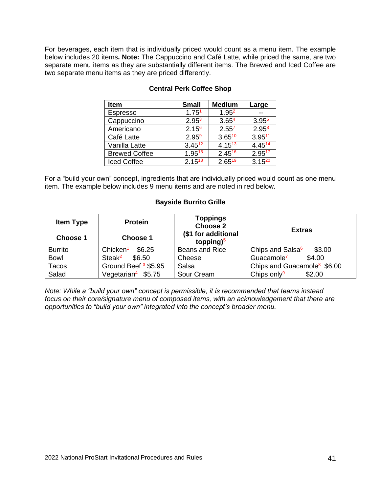For beverages, each item that is individually priced would count as a menu item. The example below includes 20 items**. Note:** The Cappuccino and Café Latte, while priced the same, are two separate menu items as they are substantially different items. The Brewed and Iced Coffee are two separate menu items as they are priced differently.

| <b>Item</b>          | <b>Small</b>      | <b>Medium</b>     | Large             |
|----------------------|-------------------|-------------------|-------------------|
| Espresso             | 1.75 <sup>1</sup> | 1.95 <sup>2</sup> |                   |
| Cappuccino           | 2.95 <sup>3</sup> | 3.65 <sup>4</sup> | 3.95 <sup>5</sup> |
| Americano            | 2.15 <sup>6</sup> | $2.55^{7}$        | $2.95^{8}$        |
| Café Latte           | $2.95^9$          | $3.65^{10}$       | $3.95^{11}$       |
| Vanilla Latte        | $3.45^{12}$       | $4.15^{13}$       | 4.4514            |
| <b>Brewed Coffee</b> | 1.9515            | $2.45^{16}$       | 2.9517            |
| <b>Iced Coffee</b>   | $2.15^{18}$       | $2.65^{19}$       | $3.15^{20}$       |

## **Central Perk Coffee Shop**

For a "build your own" concept, ingredients that are individually priced would count as one menu item. The example below includes 9 menu items and are noted in red below.

#### **Bayside Burrito Grille**

| <b>Item Type</b> | <b>Protein</b>                  | Toppings<br><b>Choose 2</b>         | <b>Extras</b>                           |
|------------------|---------------------------------|-------------------------------------|-----------------------------------------|
| Choose 1         | Choose 1                        | (\$1 for additional<br>topping) $5$ |                                         |
| <b>Burrito</b>   | Chicken <sup>1</sup><br>\$6.25  | Beans and Rice                      | Chips and Salsa <sup>6</sup><br>\$3.00  |
| <b>Bowl</b>      | Steak <sup>2</sup><br>\$6.50    | Cheese                              | Guacamole <sup>7</sup><br>\$4.00        |
| Tacos            | Ground Beef <sup>3</sup> \$5.95 | Salsa                               | Chips and Guacamole <sup>8</sup> \$6.00 |
| Salad            | Vegetarian <sup>4</sup> \$5.75  | Sour Cream                          | Chips only <sup>9</sup><br>\$2.00       |

*Note: While a "build your own" concept is permissible, it is recommended that teams instead focus on their core/signature menu of composed items, with an acknowledgement that there are opportunities to "build your own" integrated into the concept's broader menu.*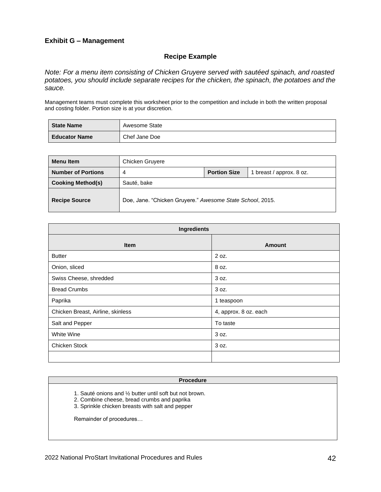#### **Exhibit G – Management**

#### **Recipe Example**

*Note: For a menu item consisting of Chicken Gruyere served with sautéed spinach, and roasted potatoes, you should include separate recipes for the chicken, the spinach, the potatoes and the sauce.* 

Management teams must complete this worksheet prior to the competition and include in both the written proposal and costing folder. Portion size is at your discretion.

| <b>State Name</b>    | Awesome State |
|----------------------|---------------|
| <b>Educator Name</b> | Chef Jane Doe |

| <b>Menu</b> Item          | Chicken Gruyere                                           |  |  |
|---------------------------|-----------------------------------------------------------|--|--|
| <b>Number of Portions</b> | <b>Portion Size</b><br>breast / approx. 8 oz.<br>4        |  |  |
| <b>Cooking Method(s)</b>  | Sauté, bake                                               |  |  |
| <b>Recipe Source</b>      | Doe, Jane. "Chicken Gruyere." Awesome State School, 2015. |  |  |

| Ingredients                       |                       |  |  |
|-----------------------------------|-----------------------|--|--|
| <b>Item</b>                       | <b>Amount</b>         |  |  |
| <b>Butter</b>                     | 2 oz.                 |  |  |
| Onion, sliced                     | 8 oz.                 |  |  |
| Swiss Cheese, shredded            | 3 oz.                 |  |  |
| <b>Bread Crumbs</b>               | 3 oz.                 |  |  |
| Paprika                           | 1 teaspoon            |  |  |
| Chicken Breast, Airline, skinless | 4, approx. 8 oz. each |  |  |
| Salt and Pepper                   | To taste              |  |  |
| White Wine                        | 3 oz.                 |  |  |
| Chicken Stock                     | 3 oz.                 |  |  |
|                                   |                       |  |  |

#### **Procedure**

- 1. Sauté onions and ½ butter until soft but not brown.
- 2. Combine cheese, bread crumbs and paprika
- 3. Sprinkle chicken breasts with salt and pepper

Remainder of procedures…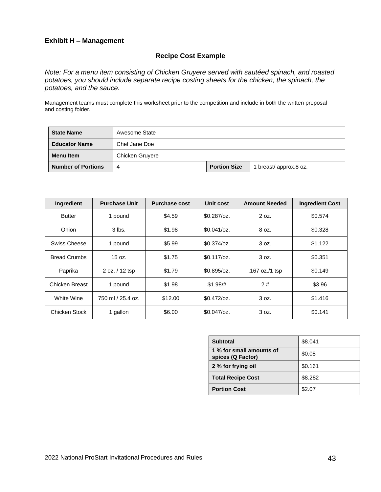#### **Exhibit H – Management**

## **Recipe Cost Example**

*Note: For a menu item consisting of Chicken Gruyere served with sautéed spinach, and roasted potatoes, you should include separate recipe costing sheets for the chicken, the spinach, the potatoes, and the sauce.* 

Management teams must complete this worksheet prior to the competition and include in both the written proposal and costing folder.

| <b>State Name</b>         | Awesome State   |                     |                       |
|---------------------------|-----------------|---------------------|-----------------------|
| <b>Educator Name</b>      | Chef Jane Doe   |                     |                       |
| <b>Menu</b> Item          | Chicken Gruyere |                     |                       |
| <b>Number of Portions</b> | 4               | <b>Portion Size</b> | 1 breast/approx.8 oz. |

| Ingredient          | <b>Purchase Unit</b> | <b>Purchase cost</b> | Unit cost     | <b>Amount Needed</b> | <b>Ingredient Cost</b> |
|---------------------|----------------------|----------------------|---------------|----------------------|------------------------|
| <b>Butter</b>       | 1 pound              | \$4.59               | $$0.287$ /oz. | 2 oz.                | \$0.574                |
| Onion               | $3$ lbs.             | \$1.98               | $$0.041$ /oz. | 8 oz.                | \$0.328                |
| Swiss Cheese        | 1 pound              | \$5.99               | $$0.374$ /oz. | 3 oz.                | \$1.122                |
| <b>Bread Crumbs</b> | 15 oz.               | \$1.75               | $$0.117$ /oz. | 3 oz.                | \$0.351                |
| Paprika             | 2 oz. / 12 tsp       | \$1.79               | $$0.895$ /oz. | .167 oz./1 tsp       | \$0.149                |
| Chicken Breast      | 1 pound              | \$1.98               | $$1.98/\#$    | 2#                   | \$3.96                 |
| White Wine          | 750 ml / 25.4 oz.    | \$12.00              | $$0.472$ /oz. | 3 oz.                | \$1,416                |
| Chicken Stock       | 1 gallon             | \$6.00               | $$0.047$ /oz. | 3 oz.                | \$0.141                |

| <b>Subtotal</b>                               | \$8.041 |
|-----------------------------------------------|---------|
| 1 % for small amounts of<br>spices (Q Factor) | \$0.08  |
| 2 % for frying oil                            | \$0.161 |
| <b>Total Recipe Cost</b>                      | \$8.282 |
| <b>Portion Cost</b>                           | \$2.07  |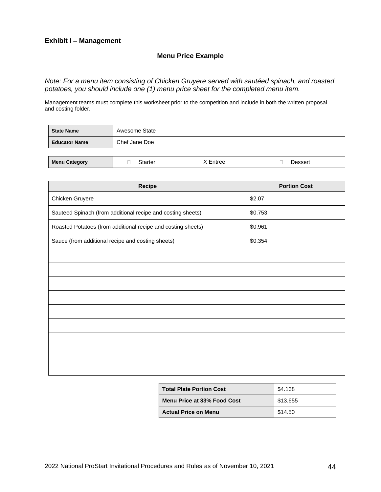#### **Exhibit I – Management**

## **Menu Price Example**

*Note: For a menu item consisting of Chicken Gruyere served with sautéed spinach, and roasted potatoes, you should include one (1) menu price sheet for the completed menu item.* 

Management teams must complete this worksheet prior to the competition and include in both the written proposal and costing folder.

| <b>State Name</b>    | Awesome State  |          |         |
|----------------------|----------------|----------|---------|
| <b>Educator Name</b> | Chef Jane Doe  |          |         |
|                      |                |          |         |
| <b>Menu Category</b> | <b>Starter</b> | X Entree | Dessert |

| Recipe                                                       | <b>Portion Cost</b> |
|--------------------------------------------------------------|---------------------|
| Chicken Gruyere                                              | \$2.07              |
| Sauteed Spinach (from additional recipe and costing sheets)  | \$0.753             |
| Roasted Potatoes (from additional recipe and costing sheets) | \$0.961             |
| Sauce (from additional recipe and costing sheets)            | \$0.354             |
|                                                              |                     |
|                                                              |                     |
|                                                              |                     |
|                                                              |                     |
|                                                              |                     |
|                                                              |                     |
|                                                              |                     |
|                                                              |                     |
|                                                              |                     |

| <b>Total Plate Portion Cost</b> | \$4.138  |
|---------------------------------|----------|
| Menu Price at 33% Food Cost     | \$13.655 |
| <b>Actual Price on Menu</b>     | \$14.50  |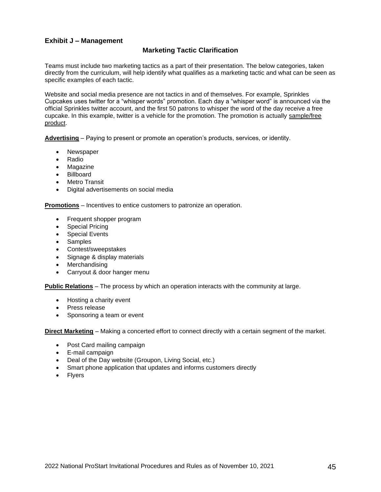#### **Exhibit J – Management**

#### **Marketing Tactic Clarification**

Teams must include two marketing tactics as a part of their presentation. The below categories, taken directly from the curriculum, will help identify what qualifies as a marketing tactic and what can be seen as specific examples of each tactic.

Website and social media presence are not tactics in and of themselves. For example, Sprinkles Cupcakes uses twitter for a "whisper words" promotion. Each day a "whisper word" is announced via the official Sprinkles twitter account, and the first 50 patrons to whisper the word of the day receive a free cupcake. In this example, twitter is a vehicle for the promotion. The promotion is actually sample/free product.

**Advertising** – Paying to present or promote an operation's products, services, or identity.

- Newspaper
- Radio
- **Magazine**
- Billboard
- Metro Transit
- Digital advertisements on social media

**Promotions** – Incentives to entice customers to patronize an operation.

- Frequent shopper program
- Special Pricing
- Special Events
- Samples
- Contest/sweepstakes
- Signage & display materials
- Merchandising
- Carryout & door hanger menu

**Public Relations** – The process by which an operation interacts with the community at large.

- Hosting a charity event
- Press release
- Sponsoring a team or event

**Direct Marketing** – Making a concerted effort to connect directly with a certain segment of the market.

- Post Card mailing campaign
- E-mail campaign
- Deal of the Day website (Groupon, Living Social, etc.)
- Smart phone application that updates and informs customers directly
- Flyers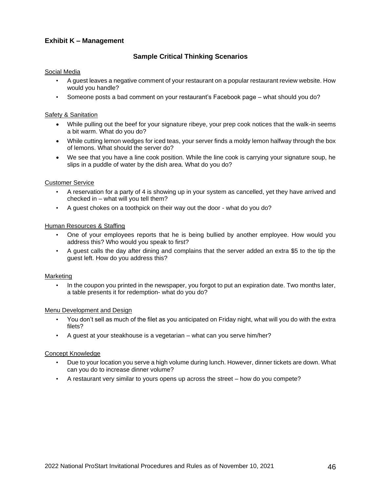#### **Exhibit K – Management**

#### **Sample Critical Thinking Scenarios**

#### Social Media

- A guest leaves a negative comment of your restaurant on a popular restaurant review website. How would you handle?
- Someone posts a bad comment on your restaurant's Facebook page what should you do?

#### Safety & Sanitation

- While pulling out the beef for your signature ribeye, your prep cook notices that the walk-in seems a bit warm. What do you do?
- While cutting lemon wedges for iced teas, your server finds a moldy lemon halfway through the box of lemons. What should the server do?
- We see that you have a line cook position. While the line cook is carrying your signature soup, he slips in a puddle of water by the dish area. What do you do?

#### Customer Service

- A reservation for a party of 4 is showing up in your system as cancelled, yet they have arrived and checked in – what will you tell them?
- A guest chokes on a toothpick on their way out the door what do you do?

#### Human Resources & Staffing

- One of your employees reports that he is being bullied by another employee. How would you address this? Who would you speak to first?
- A guest calls the day after dining and complains that the server added an extra \$5 to the tip the guest left. How do you address this?

#### Marketing

• In the coupon you printed in the newspaper, you forgot to put an expiration date. Two months later, a table presents it for redemption- what do you do?

#### Menu Development and Design

- You don't sell as much of the filet as you anticipated on Friday night, what will you do with the extra filets?
- A guest at your steakhouse is a vegetarian what can you serve him/her?

#### Concept Knowledge

- Due to your location you serve a high volume during lunch. However, dinner tickets are down. What can you do to increase dinner volume?
- A restaurant very similar to yours opens up across the street how do you compete?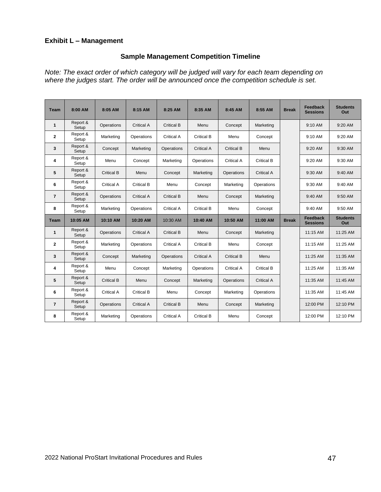## **Exhibit L – Management**

# **Sample Management Competition Timeline**

*Note: The exact order of which category will be judged will vary for each team depending on where the judges start. The order will be announced once the competition schedule is set.* 

| <b>Team</b>    | 8:00 AM           | 8:05 AM           | 8:15 AM           | 8:25 AM           | 8:35 AM           | 8:45 AM           | 8:55 AM           | <b>Break</b> | Feedback<br><b>Sessions</b> | <b>Students</b><br>Out |
|----------------|-------------------|-------------------|-------------------|-------------------|-------------------|-------------------|-------------------|--------------|-----------------------------|------------------------|
| $\mathbf{1}$   | Report &<br>Setup | Operations        | <b>Critical A</b> | <b>Critical B</b> | Menu              | Concept           | Marketing         |              | $9:10$ AM                   | $9:20$ AM              |
| $\mathbf{2}$   | Report &<br>Setup | Marketing         | Operations        | <b>Critical A</b> | <b>Critical B</b> | Menu              | Concept           |              | 9:10 AM                     | 9:20 AM                |
| 3              | Report &<br>Setup | Concept           | Marketing         | Operations        | <b>Critical A</b> | <b>Critical B</b> | Menu              |              | 9:20 AM                     | 9:30 AM                |
| 4              | Report &<br>Setup | Menu              | Concept           | Marketing         | Operations        | Critical A        | Critical B        |              | 9:20 AM                     | 9:30 AM                |
| 5              | Report &<br>Setup | Critical B        | Menu              | Concept           | Marketing         | Operations        | Critical A        |              | $9:30$ AM                   | $9:40$ AM              |
| 6              | Report &<br>Setup | Critical A        | Critical B        | Menu              | Concept           | Marketing         | Operations        |              | $9:30$ AM                   | $9:40$ AM              |
| $\overline{7}$ | Report &<br>Setup | Operations        | <b>Critical A</b> | <b>Critical B</b> | Menu              | Concept           | Marketing         |              | 9:40 AM                     | 9:50 AM                |
| 8              | Report &<br>Setup | Marketing         | Operations        | Critical A        | <b>Critical B</b> | Menu              | Concept           |              | 9:40 AM                     | 9:50 AM                |
| <b>Team</b>    | 10:05 AM          | 10:10 AM          | 10:20 AM          | 10:30 AM          | 10:40 AM          | 10:50 AM          | 11:00 AM          | <b>Break</b> | Feedback<br><b>Sessions</b> | <b>Students</b><br>Out |
| $\mathbf{1}$   | Report &<br>Setup | Operations        | Critical A        | Critical B        | Menu              | Concept           | Marketing         |              | $11:15$ AM                  | $11:25$ AM             |
| $\mathbf{2}$   | Report &<br>Setup | Marketing         | Operations        | <b>Critical A</b> | Critical B        | Menu              | Concept           |              | 11:15 AM                    | 11:25 AM               |
| 3              | Report &<br>Setup | Concept           | Marketing         | Operations        | Critical A        | Critical B        | Menu              |              | 11:25 AM                    | 11:35 AM               |
| 4              | Report &<br>Setup | Menu              | Concept           | Marketing         | Operations        | <b>Critical A</b> | <b>Critical B</b> |              | 11:25 AM                    | 11:35 AM               |
| 5              | Report &<br>Setup | <b>Critical B</b> | Menu              | Concept           | Marketing         | Operations        | <b>Critical A</b> |              | 11:35 AM                    | 11:45 AM               |
| 6              | Report &<br>Setup | <b>Critical A</b> | <b>Critical B</b> | Menu              | Concept           | Marketing         | Operations        |              | 11:35 AM                    | 11:45 AM               |
| $\overline{7}$ | Report &<br>Setup | Operations        | <b>Critical A</b> | <b>Critical B</b> | Menu              | Concept           | Marketing         |              | 12:00 PM                    | 12:10 PM               |
| 8              | Report &<br>Setup | Marketing         | Operations        | <b>Critical A</b> | <b>Critical B</b> | Menu              | Concept           |              | 12:00 PM                    | 12:10 PM               |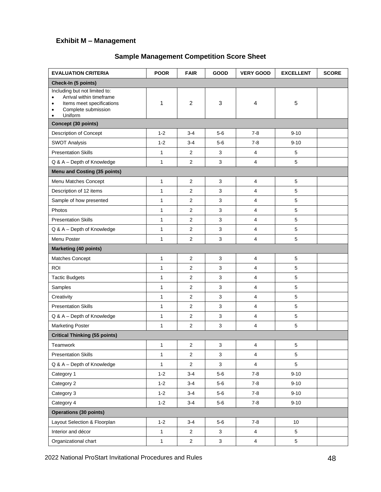# **Exhibit M – Management**

# **Sample Management Competition Score Sheet**

| <b>EVALUATION CRITERIA</b>                                                                                                                                   | <b>POOR</b>  | <b>FAIR</b>      | GOOD         | <b>VERY GOOD</b>        | <b>EXCELLENT</b> | <b>SCORE</b> |
|--------------------------------------------------------------------------------------------------------------------------------------------------------------|--------------|------------------|--------------|-------------------------|------------------|--------------|
| Check-In (5 points)                                                                                                                                          |              |                  |              |                         |                  |              |
| Including but not limited to:<br>Arrival within timeframe<br>$\bullet$<br>Items meet specifications<br>$\bullet$<br>Complete submission<br>٠<br>Uniform<br>٠ | 1            | $\overline{2}$   | 3            | 4                       | 5                |              |
| Concept (30 points)                                                                                                                                          |              |                  |              |                         |                  |              |
| Description of Concept                                                                                                                                       | $1 - 2$      | $3 - 4$          | $5-6$        | $7 - 8$                 | $9 - 10$         |              |
| <b>SWOT Analysis</b>                                                                                                                                         | $1 - 2$      | $3 - 4$          | $5-6$        | $7 - 8$                 | $9 - 10$         |              |
| <b>Presentation Skills</b>                                                                                                                                   | 1            | 2                | 3            | 4                       | 5                |              |
| Q & A - Depth of Knowledge                                                                                                                                   | $\mathbf{1}$ | $\overline{2}$   | 3            | $\overline{4}$          | 5                |              |
| Menu and Costing (35 points)                                                                                                                                 |              |                  |              |                         |                  |              |
| Menu Matches Concept                                                                                                                                         | $\mathbf{1}$ | $\overline{2}$   | 3            | 4                       | 5                |              |
| Description of 12 items                                                                                                                                      | 1            | $\overline{2}$   | 3            | 4                       | 5                |              |
| Sample of how presented                                                                                                                                      | $\mathbf{1}$ | $\overline{c}$   | 3            | 4                       | 5                |              |
| Photos                                                                                                                                                       | 1            | $\overline{2}$   | 3            | 4                       | 5                |              |
| <b>Presentation Skills</b>                                                                                                                                   | 1            | $\overline{2}$   | 3            | 4                       | 5                |              |
| Q & A - Depth of Knowledge                                                                                                                                   | $\mathbf{1}$ | $\overline{2}$   | 3            | $\overline{4}$          | 5                |              |
| Menu Poster                                                                                                                                                  | $\mathbf{1}$ | $\overline{2}$   | 3            | 4                       | 5                |              |
| <b>Marketing (40 points)</b>                                                                                                                                 |              |                  |              |                         |                  |              |
| Matches Concept                                                                                                                                              | 1            | $\overline{2}$   | 3            | $\overline{\mathbf{4}}$ | 5                |              |
| <b>ROI</b>                                                                                                                                                   | 1            | 2                | 3            | 4                       | 5                |              |
| <b>Tactic Budgets</b>                                                                                                                                        | $\mathbf{1}$ | $\overline{2}$   | 3            | $\overline{4}$          | 5                |              |
| Samples                                                                                                                                                      | $\mathbf{1}$ | $\overline{2}$   | 3            | 4                       | 5                |              |
| Creativity                                                                                                                                                   | $\mathbf{1}$ | $\overline{2}$   | $\mathbf{3}$ | $\overline{4}$          | 5                |              |
| <b>Presentation Skills</b>                                                                                                                                   | 1            | $\overline{2}$   | 3            | $\overline{4}$          | 5                |              |
| Q & A - Depth of Knowledge                                                                                                                                   | 1            | $\overline{2}$   | 3            | 4                       | 5                |              |
| <b>Marketing Poster</b>                                                                                                                                      | 1            | $\overline{2}$   | $\mathbf{3}$ | 4                       | 5                |              |
| <b>Critical Thinking (55 points)</b>                                                                                                                         |              |                  |              |                         |                  |              |
| Teamwork                                                                                                                                                     | 1            | $\boldsymbol{2}$ | 3            | 4                       | 5                |              |
| <b>Presentation Skills</b>                                                                                                                                   | $\mathbf{1}$ | $\overline{2}$   | 3            | 4                       | 5                |              |
| Q & A - Depth of Knowledge                                                                                                                                   | $\mathbf{1}$ | $\overline{a}$   | 3            | $\overline{\mathbf{4}}$ | 5                |              |
| Category 1                                                                                                                                                   | $1 - 2$      | $3 - 4$          | $5-6$        | $7 - 8$                 | $9 - 10$         |              |
| Category 2                                                                                                                                                   | $1 - 2$      | $3 - 4$          | $5-6$        | $7 - 8$                 | $9 - 10$         |              |
| Category 3                                                                                                                                                   | $1 - 2$      | $3 - 4$          | $5-6$        | $7 - 8$                 | $9 - 10$         |              |
| Category 4                                                                                                                                                   | $1 - 2$      | $3 - 4$          | $5-6$        | $7 - 8$                 | $9 - 10$         |              |
| <b>Operations (30 points)</b>                                                                                                                                |              |                  |              |                         |                  |              |
| Layout Selection & Floorplan                                                                                                                                 | $1 - 2$      | $3 - 4$          | $5-6$        | $7 - 8$                 | 10               |              |
| Interior and décor                                                                                                                                           | $\mathbf{1}$ | $\overline{a}$   | $\mathbf{3}$ | $\overline{4}$          | 5                |              |
| Organizational chart                                                                                                                                         | $\mathbf{1}$ | $\overline{2}$   | $\mathbf{3}$ | $\overline{4}$          | 5                |              |